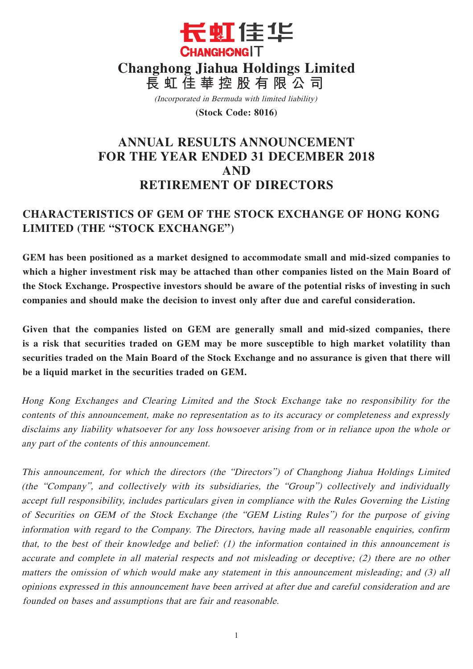

(Incorporated in Bermuda with limited liability)

**(Stock Code: 8016)**

# **ANNUAL RESULTS ANNOUNCEMENT FOR THE YEAR ENDED 31 DECEMBER 2018 AND RETIREMENT OF DIRECTORS**

# **CHARACTERISTICS OF GEM OF THE STOCK EXCHANGE OF HONG KONG LIMITED (THE "STOCK EXCHANGE")**

**GEM has been positioned as a market designed to accommodate small and mid-sized companies to which a higher investment risk may be attached than other companies listed on the Main Board of the Stock Exchange. Prospective investors should be aware of the potential risks of investing in such companies and should make the decision to invest only after due and careful consideration.**

**Given that the companies listed on GEM are generally small and mid-sized companies, there is a risk that securities traded on GEM may be more susceptible to high market volatility than securities traded on the Main Board of the Stock Exchange and no assurance is given that there will be a liquid market in the securities traded on GEM.**

Hong Kong Exchanges and Clearing Limited and the Stock Exchange take no responsibility for the contents of this announcement, make no representation as to its accuracy or completeness and expressly disclaims any liability whatsoever for any loss howsoever arising from or in reliance upon the whole or any part of the contents of this announcement.

This announcement, for which the directors (the "Directors") of Changhong Jiahua Holdings Limited (the "Company", and collectively with its subsidiaries, the "Group") collectively and individually accept full responsibility, includes particulars given in compliance with the Rules Governing the Listing of Securities on GEM of the Stock Exchange (the "GEM Listing Rules") for the purpose of giving information with regard to the Company. The Directors, having made all reasonable enquiries, confirm that, to the best of their knowledge and belief: (1) the information contained in this announcement is accurate and complete in all material respects and not misleading or deceptive; (2) there are no other matters the omission of which would make any statement in this announcement misleading; and (3) all opinions expressed in this announcement have been arrived at after due and careful consideration and are founded on bases and assumptions that are fair and reasonable.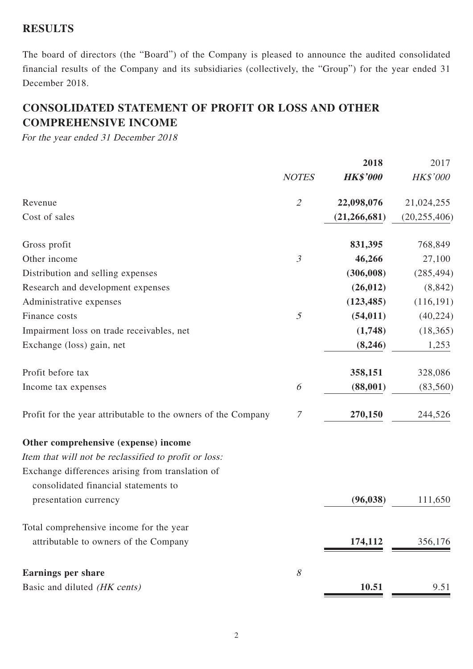## **RESULTS**

The board of directors (the "Board") of the Company is pleased to announce the audited consolidated financial results of the Company and its subsidiaries (collectively, the "Group") for the year ended 31 December 2018.

# **CONSOLIDATED STATEMENT OF PROFIT OR LOSS AND OTHER COMPREHENSIVE INCOME**

For the year ended 31 December 2018

|                                                               |                | 2018            | 2017           |
|---------------------------------------------------------------|----------------|-----------------|----------------|
|                                                               | <b>NOTES</b>   | <b>HK\$'000</b> | HK\$'000       |
| Revenue                                                       | $\mathcal{L}$  | 22,098,076      | 21,024,255     |
| Cost of sales                                                 |                | (21, 266, 681)  | (20, 255, 406) |
| Gross profit                                                  |                | 831,395         | 768,849        |
| Other income                                                  | $\mathfrak{Z}$ | 46,266          | 27,100         |
| Distribution and selling expenses                             |                | (306,008)       | (285, 494)     |
| Research and development expenses                             |                | (26, 012)       | (8, 842)       |
| Administrative expenses                                       |                | (123, 485)      | (116, 191)     |
| Finance costs                                                 | $\mathfrak{I}$ | (54, 011)       | (40, 224)      |
| Impairment loss on trade receivables, net                     |                | (1,748)         | (18, 365)      |
| Exchange (loss) gain, net                                     |                | (8,246)         | 1,253          |
| Profit before tax                                             |                | 358,151         | 328,086        |
| Income tax expenses                                           | 6              | (88,001)        | (83, 560)      |
| Profit for the year attributable to the owners of the Company | 7              | 270,150         | 244,526        |
| Other comprehensive (expense) income                          |                |                 |                |
| Item that will not be reclassified to profit or loss:         |                |                 |                |
| Exchange differences arising from translation of              |                |                 |                |
| consolidated financial statements to                          |                |                 |                |
| presentation currency                                         |                | (96, 038)       | 111,650        |
| Total comprehensive income for the year                       |                |                 |                |
| attributable to owners of the Company                         |                | 174,112         | 356,176        |
| <b>Earnings per share</b>                                     | 8              |                 |                |
| Basic and diluted (HK cents)                                  |                | 10.51           | 9.51           |
|                                                               |                |                 |                |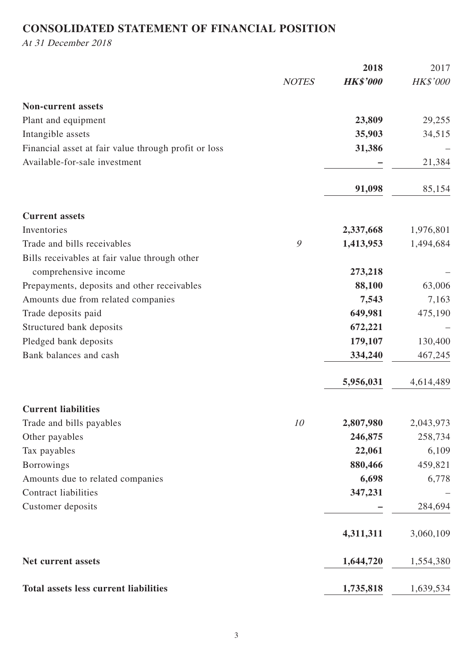# **CONSOLIDATED STATEMENT OF FINANCIAL POSITION**

At 31 December 2018

|                                                      |              | 2018            | 2017      |
|------------------------------------------------------|--------------|-----------------|-----------|
|                                                      | <b>NOTES</b> | <b>HK\$'000</b> | HK\$'000  |
| <b>Non-current assets</b>                            |              |                 |           |
| Plant and equipment                                  |              | 23,809          | 29,255    |
| Intangible assets                                    |              | 35,903          | 34,515    |
| Financial asset at fair value through profit or loss |              | 31,386          |           |
| Available-for-sale investment                        |              |                 | 21,384    |
|                                                      |              | 91,098          | 85,154    |
| <b>Current assets</b>                                |              |                 |           |
| Inventories                                          |              | 2,337,668       | 1,976,801 |
| Trade and bills receivables                          | 9            | 1,413,953       | 1,494,684 |
| Bills receivables at fair value through other        |              |                 |           |
| comprehensive income                                 |              | 273,218         |           |
| Prepayments, deposits and other receivables          |              | 88,100          | 63,006    |
| Amounts due from related companies                   |              | 7,543           | 7,163     |
| Trade deposits paid                                  |              | 649,981         | 475,190   |
| Structured bank deposits                             |              | 672,221         |           |
| Pledged bank deposits                                |              | 179,107         | 130,400   |
| Bank balances and cash                               |              | 334,240         | 467,245   |
|                                                      |              | 5,956,031       | 4,614,489 |
| <b>Current liabilities</b>                           |              |                 |           |
| Trade and bills payables                             | 10           | 2,807,980       | 2,043,973 |
| Other payables                                       |              | 246,875         | 258,734   |
| Tax payables                                         |              | 22,061          | 6,109     |
| <b>Borrowings</b>                                    |              | 880,466         | 459,821   |
| Amounts due to related companies                     |              | 6,698           | 6,778     |
| <b>Contract liabilities</b>                          |              | 347,231         |           |
| Customer deposits                                    |              |                 | 284,694   |
|                                                      |              | 4,311,311       | 3,060,109 |
| Net current assets                                   |              | 1,644,720       | 1,554,380 |
| <b>Total assets less current liabilities</b>         |              | 1,735,818       | 1,639,534 |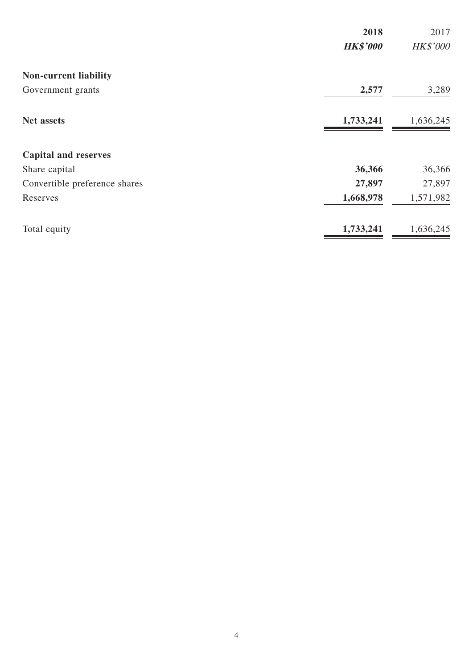|                               | 2018            | 2017            |
|-------------------------------|-----------------|-----------------|
|                               | <b>HK\$'000</b> | <b>HK\$'000</b> |
| Non-current liability         |                 |                 |
| Government grants             | 2,577           | 3,289           |
| <b>Net assets</b>             | 1,733,241       | 1,636,245       |
| <b>Capital and reserves</b>   |                 |                 |
| Share capital                 | 36,366          | 36,366          |
| Convertible preference shares | 27,897          | 27,897          |
| Reserves                      | 1,668,978       | 1,571,982       |
| Total equity                  | 1,733,241       | 1,636,245       |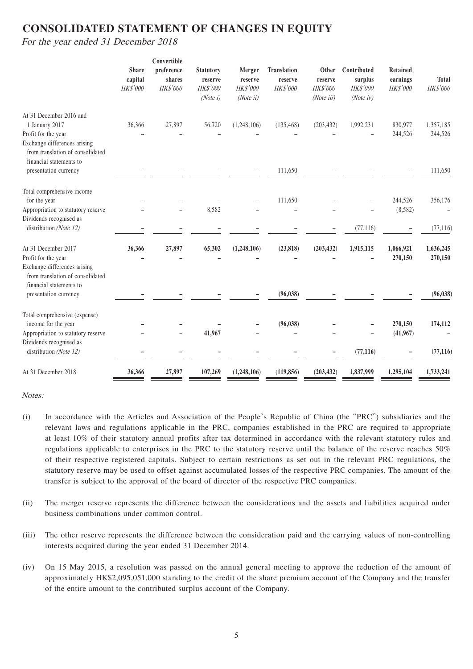# **CONSOLIDATED STATEMENT OF CHANGES IN EQUITY**

For the year ended 31 December 2018

|                                                                                                                    | <b>Share</b><br>capital<br>HK\$'000 | Convertible<br>preference<br>shares<br><b>HK\$'000</b> | <b>Statutory</b><br>reserve<br>HK\$'000<br>(Note i) | Merger<br>reserve<br>HK\$'000<br>(Noteii) | <b>Translation</b><br>reserve<br>HK\$'000 | Other<br>reserve<br>HK\$'000<br>(Note iii) | Contributed<br>surplus<br><b>HK\$'000</b><br>(Note <sub>iv</sub> ) | <b>Retained</b><br>earnings<br>HK\$'000 | <b>Total</b><br><b>HK\$'000</b> |
|--------------------------------------------------------------------------------------------------------------------|-------------------------------------|--------------------------------------------------------|-----------------------------------------------------|-------------------------------------------|-------------------------------------------|--------------------------------------------|--------------------------------------------------------------------|-----------------------------------------|---------------------------------|
| At 31 December 2016 and<br>1 January 2017                                                                          | 36,366                              | 27,897                                                 | 56,720                                              | (1, 248, 106)                             | (135, 468)                                | (203, 432)                                 | 1,992,231                                                          | 830,977                                 | 1,357,185                       |
| Profit for the year                                                                                                |                                     |                                                        |                                                     |                                           |                                           |                                            |                                                                    | 244,526                                 | 244,526                         |
| Exchange differences arising<br>from translation of consolidated<br>financial statements to                        |                                     |                                                        |                                                     |                                           |                                           |                                            |                                                                    |                                         |                                 |
| presentation currency                                                                                              |                                     |                                                        |                                                     |                                           | 111,650                                   |                                            |                                                                    |                                         | 111,650                         |
| Total comprehensive income                                                                                         |                                     |                                                        |                                                     |                                           |                                           |                                            |                                                                    |                                         |                                 |
| for the year                                                                                                       |                                     |                                                        |                                                     |                                           | 111,650                                   |                                            |                                                                    | 244,526                                 | 356,176                         |
| Appropriation to statutory reserve                                                                                 |                                     |                                                        | 8,582                                               |                                           |                                           |                                            |                                                                    | (8,582)                                 |                                 |
| Dividends recognised as<br>distribution (Note 12)                                                                  |                                     |                                                        |                                                     |                                           |                                           |                                            | (77, 116)                                                          |                                         | (77, 116)                       |
| At 31 December 2017                                                                                                | 36,366                              | 27,897                                                 | 65,302                                              | (1,248,106)                               | (23, 818)                                 | (203, 432)                                 | 1,915,115                                                          | 1,066,921                               | 1,636,245                       |
| Profit for the year<br>Exchange differences arising<br>from translation of consolidated<br>financial statements to |                                     |                                                        |                                                     |                                           |                                           |                                            |                                                                    | 270,150                                 | 270,150                         |
| presentation currency                                                                                              |                                     |                                                        |                                                     |                                           | (96, 038)                                 |                                            |                                                                    |                                         | (96, 038)                       |
| Total comprehensive (expense)                                                                                      |                                     |                                                        |                                                     |                                           |                                           |                                            |                                                                    |                                         |                                 |
| income for the year                                                                                                |                                     |                                                        |                                                     |                                           | (96, 038)                                 |                                            |                                                                    | 270,150                                 | 174,112                         |
| Appropriation to statutory reserve                                                                                 |                                     |                                                        | 41,967                                              |                                           |                                           |                                            |                                                                    | (41, 967)                               |                                 |
| Dividends recognised as<br>distribution (Note 12)                                                                  |                                     |                                                        |                                                     |                                           |                                           |                                            | (77, 116)                                                          |                                         | (77, 116)                       |
| At 31 December 2018                                                                                                | 36,366                              | 27,897                                                 | 107,269                                             | (1,248,106)                               | (119, 856)                                | (203, 432)                                 | 1,837,999                                                          | 1,295,104                               | 1,733,241                       |

#### Notes:

- (i) In accordance with the Articles and Association of the People's Republic of China (the "PRC") subsidiaries and the relevant laws and regulations applicable in the PRC, companies established in the PRC are required to appropriate at least 10% of their statutory annual profits after tax determined in accordance with the relevant statutory rules and regulations applicable to enterprises in the PRC to the statutory reserve until the balance of the reserve reaches 50% of their respective registered capitals. Subject to certain restrictions as set out in the relevant PRC regulations, the statutory reserve may be used to offset against accumulated losses of the respective PRC companies. The amount of the transfer is subject to the approval of the board of director of the respective PRC companies.
- (ii) The merger reserve represents the difference between the considerations and the assets and liabilities acquired under business combinations under common control.
- (iii) The other reserve represents the difference between the consideration paid and the carrying values of non-controlling interests acquired during the year ended 31 December 2014.
- (iv) On 15 May 2015, a resolution was passed on the annual general meeting to approve the reduction of the amount of approximately HK\$2,095,051,000 standing to the credit of the share premium account of the Company and the transfer of the entire amount to the contributed surplus account of the Company.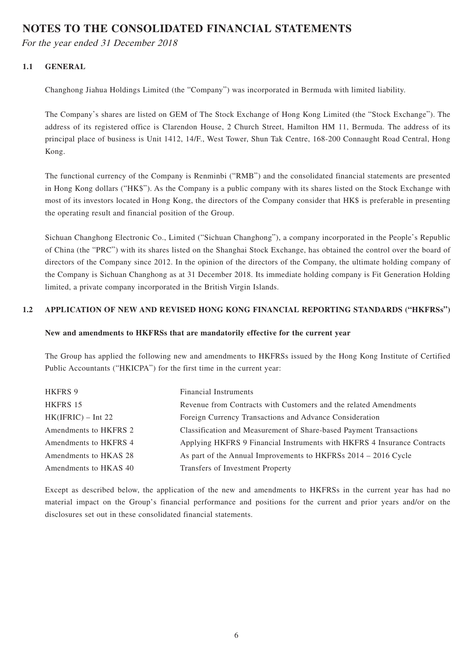## **NOTES TO THE CONSOLIDATED FINANCIAL STATEMENTS**

For the year ended 31 December 2018

## **1.1 GENERAL**

Changhong Jiahua Holdings Limited (the "Company") was incorporated in Bermuda with limited liability.

The Company's shares are listed on GEM of The Stock Exchange of Hong Kong Limited (the "Stock Exchange"). The address of its registered office is Clarendon House, 2 Church Street, Hamilton HM 11, Bermuda. The address of its principal place of business is Unit 1412, 14/F., West Tower, Shun Tak Centre, 168-200 Connaught Road Central, Hong Kong.

The functional currency of the Company is Renminbi ("RMB") and the consolidated financial statements are presented in Hong Kong dollars ("HK\$"). As the Company is a public company with its shares listed on the Stock Exchange with most of its investors located in Hong Kong, the directors of the Company consider that HK\$ is preferable in presenting the operating result and financial position of the Group.

Sichuan Changhong Electronic Co., Limited ("Sichuan Changhong"), a company incorporated in the People's Republic of China (the "PRC") with its shares listed on the Shanghai Stock Exchange, has obtained the control over the board of directors of the Company since 2012. In the opinion of the directors of the Company, the ultimate holding company of the Company is Sichuan Changhong as at 31 December 2018. Its immediate holding company is Fit Generation Holding limited, a private company incorporated in the British Virgin Islands.

## **1.2 APPLICATION OF NEW AND REVISED HONG KONG FINANCIAL REPORTING STANDARDS ("HKFRSs")**

### **New and amendments to HKFRSs that are mandatorily effective for the current year**

The Group has applied the following new and amendments to HKFRSs issued by the Hong Kong Institute of Certified Public Accountants ("HKICPA") for the first time in the current year:

| HKFRS 9               | <b>Financial Instruments</b>                                            |
|-----------------------|-------------------------------------------------------------------------|
| HKFRS 15              | Revenue from Contracts with Customers and the related Amendments        |
| $HK(IFRIC) - Int 22$  | Foreign Currency Transactions and Advance Consideration                 |
| Amendments to HKFRS 2 | Classification and Measurement of Share-based Payment Transactions      |
| Amendments to HKFRS 4 | Applying HKFRS 9 Financial Instruments with HKFRS 4 Insurance Contracts |
| Amendments to HKAS 28 | As part of the Annual Improvements to HKFRSs 2014 – 2016 Cycle          |
| Amendments to HKAS 40 | Transfers of Investment Property                                        |

Except as described below, the application of the new and amendments to HKFRSs in the current year has had no material impact on the Group's financial performance and positions for the current and prior years and/or on the disclosures set out in these consolidated financial statements.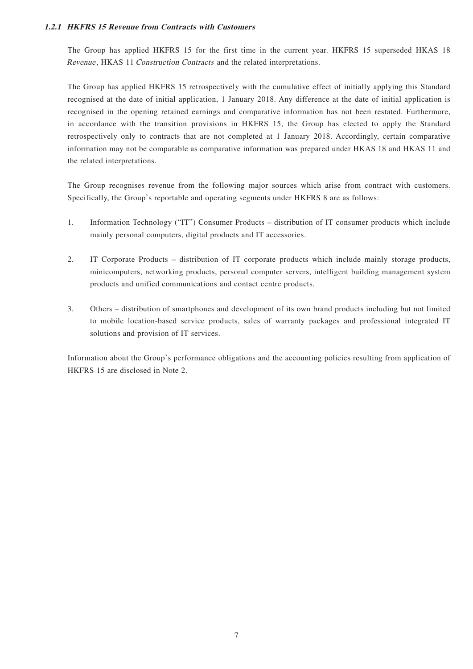### **1.2.1 HKFRS 15 Revenue from Contracts with Customers**

The Group has applied HKFRS 15 for the first time in the current year. HKFRS 15 superseded HKAS 18 Revenue, HKAS 11 Construction Contracts and the related interpretations.

The Group has applied HKFRS 15 retrospectively with the cumulative effect of initially applying this Standard recognised at the date of initial application, 1 January 2018. Any difference at the date of initial application is recognised in the opening retained earnings and comparative information has not been restated. Furthermore, in accordance with the transition provisions in HKFRS 15, the Group has elected to apply the Standard retrospectively only to contracts that are not completed at 1 January 2018. Accordingly, certain comparative information may not be comparable as comparative information was prepared under HKAS 18 and HKAS 11 and the related interpretations.

The Group recognises revenue from the following major sources which arise from contract with customers. Specifically, the Group's reportable and operating segments under HKFRS 8 are as follows:

- 1. Information Technology ("IT") Consumer Products distribution of IT consumer products which include mainly personal computers, digital products and IT accessories.
- 2. IT Corporate Products distribution of IT corporate products which include mainly storage products, minicomputers, networking products, personal computer servers, intelligent building management system products and unified communications and contact centre products.
- 3. Others distribution of smartphones and development of its own brand products including but not limited to mobile location-based service products, sales of warranty packages and professional integrated IT solutions and provision of IT services.

Information about the Group's performance obligations and the accounting policies resulting from application of HKFRS 15 are disclosed in Note 2.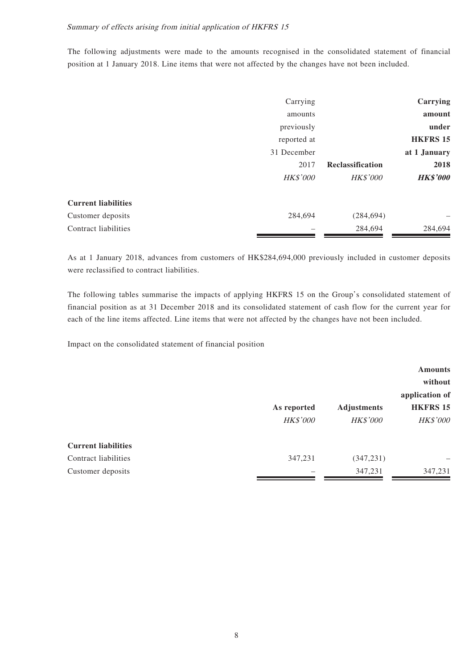The following adjustments were made to the amounts recognised in the consolidated statement of financial position at 1 January 2018. Line items that were not affected by the changes have not been included.

|                            | Carrying        |                  | Carrying        |
|----------------------------|-----------------|------------------|-----------------|
|                            | amounts         |                  | amount          |
|                            | previously      |                  | under           |
|                            | reported at     |                  | <b>HKFRS 15</b> |
|                            | 31 December     |                  | at 1 January    |
|                            | 2017            | Reclassification | 2018            |
|                            | <b>HK\$'000</b> | <b>HK\$'000</b>  | <b>HK\$'000</b> |
| <b>Current liabilities</b> |                 |                  |                 |
| Customer deposits          | 284,694         | (284, 694)       | -               |
| Contract liabilities       |                 | 284,694          | 284,694         |

As at 1 January 2018, advances from customers of HK\$284,694,000 previously included in customer deposits were reclassified to contract liabilities.

The following tables summarise the impacts of applying HKFRS 15 on the Group's consolidated statement of financial position as at 31 December 2018 and its consolidated statement of cash flow for the current year for each of the line items affected. Line items that were not affected by the changes have not been included.

Impact on the consolidated statement of financial position

|                            |             |                    | application of  |  |  |
|----------------------------|-------------|--------------------|-----------------|--|--|
|                            | As reported | <b>Adjustments</b> | <b>HKFRS 15</b> |  |  |
|                            | HK\$'000    | <b>HK\$'000</b>    | <b>HK\$'000</b> |  |  |
| <b>Current liabilities</b> |             |                    |                 |  |  |
| Contract liabilities       | 347,231     | (347, 231)         |                 |  |  |
| Customer deposits          |             | 347,231            | 347,231         |  |  |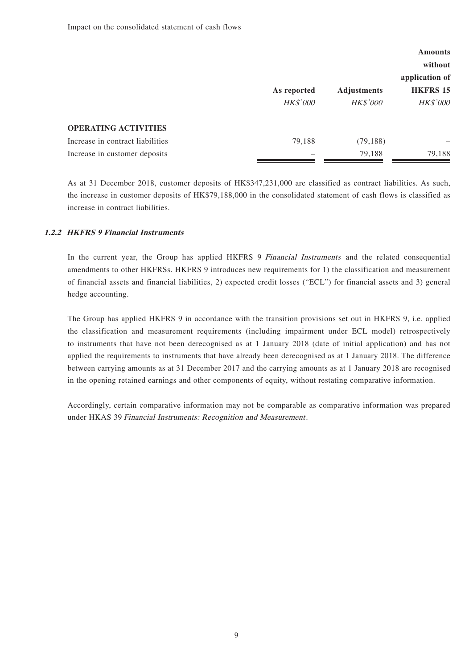|                                  |                                |                                       | <b>Amounts</b><br>without                            |  |
|----------------------------------|--------------------------------|---------------------------------------|------------------------------------------------------|--|
|                                  | As reported<br><b>HK\$'000</b> | <b>Adjustments</b><br><b>HK\$'000</b> | application of<br><b>HKFRS 15</b><br><b>HK\$'000</b> |  |
| <b>OPERATING ACTIVITIES</b>      |                                |                                       |                                                      |  |
| Increase in contract liabilities | 79,188                         | (79, 188)                             |                                                      |  |
| Increase in customer deposits    |                                | 79,188                                | 79,188                                               |  |

As at 31 December 2018, customer deposits of HK\$347,231,000 are classified as contract liabilities. As such, the increase in customer deposits of HK\$79,188,000 in the consolidated statement of cash flows is classified as increase in contract liabilities.

### **1.2.2 HKFRS 9 Financial Instruments**

In the current year, the Group has applied HKFRS 9 Financial Instruments and the related consequential amendments to other HKFRSs. HKFRS 9 introduces new requirements for 1) the classification and measurement of financial assets and financial liabilities, 2) expected credit losses ("ECL") for financial assets and 3) general hedge accounting.

The Group has applied HKFRS 9 in accordance with the transition provisions set out in HKFRS 9, i.e. applied the classification and measurement requirements (including impairment under ECL model) retrospectively to instruments that have not been derecognised as at 1 January 2018 (date of initial application) and has not applied the requirements to instruments that have already been derecognised as at 1 January 2018. The difference between carrying amounts as at 31 December 2017 and the carrying amounts as at 1 January 2018 are recognised in the opening retained earnings and other components of equity, without restating comparative information.

Accordingly, certain comparative information may not be comparable as comparative information was prepared under HKAS 39 Financial Instruments: Recognition and Measurement.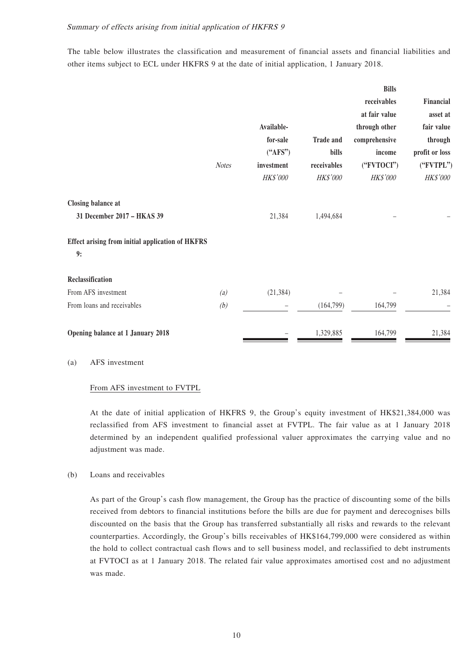The table below illustrates the classification and measurement of financial assets and financial liabilities and other items subject to ECL under HKFRS 9 at the date of initial application, 1 January 2018.

|                                                               | <b>Notes</b> | Available-<br>for-sale<br>("AFS")<br>investment<br>HK\$'000 | <b>Trade and</b><br>bills<br>receivables<br>HK\$'000 | <b>Bills</b><br>receivables<br>at fair value<br>through other<br>comprehensive<br>income<br>("FVTOCI")<br>HK\$'000 | Financial<br>asset at<br>fair value<br>through<br>profit or loss<br>("FVTPL")<br>HK\$'000 |
|---------------------------------------------------------------|--------------|-------------------------------------------------------------|------------------------------------------------------|--------------------------------------------------------------------------------------------------------------------|-------------------------------------------------------------------------------------------|
| <b>Closing balance at</b><br>31 December 2017 - HKAS 39       |              | 21,384                                                      | 1,494,684                                            |                                                                                                                    |                                                                                           |
| <b>Effect arising from initial application of HKFRS</b><br>9: |              |                                                             |                                                      |                                                                                                                    |                                                                                           |
| Reclassification                                              |              |                                                             |                                                      |                                                                                                                    |                                                                                           |
| From AFS investment                                           | (a)          | (21, 384)                                                   |                                                      |                                                                                                                    | 21,384                                                                                    |
| From loans and receivables                                    | (b)          |                                                             | (164, 799)                                           | 164,799                                                                                                            |                                                                                           |
| Opening balance at 1 January 2018                             |              |                                                             | 1,329,885                                            | 164,799                                                                                                            | 21,384                                                                                    |

#### (a) AFS investment

#### From AFS investment to FVTPL

At the date of initial application of HKFRS 9, the Group's equity investment of HK\$21,384,000 was reclassified from AFS investment to financial asset at FVTPL. The fair value as at 1 January 2018 determined by an independent qualified professional valuer approximates the carrying value and no adjustment was made.

### (b) Loans and receivables

As part of the Group's cash flow management, the Group has the practice of discounting some of the bills received from debtors to financial institutions before the bills are due for payment and derecognises bills discounted on the basis that the Group has transferred substantially all risks and rewards to the relevant counterparties. Accordingly, the Group's bills receivables of HK\$164,799,000 were considered as within the hold to collect contractual cash flows and to sell business model, and reclassified to debt instruments at FVTOCI as at 1 January 2018. The related fair value approximates amortised cost and no adjustment was made.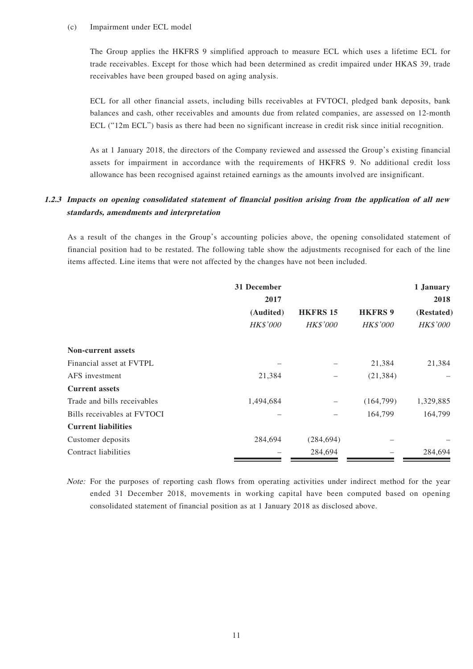#### (c) Impairment under ECL model

The Group applies the HKFRS 9 simplified approach to measure ECL which uses a lifetime ECL for trade receivables. Except for those which had been determined as credit impaired under HKAS 39, trade receivables have been grouped based on aging analysis.

ECL for all other financial assets, including bills receivables at FVTOCI, pledged bank deposits, bank balances and cash, other receivables and amounts due from related companies, are assessed on 12-month ECL ("12m ECL") basis as there had been no significant increase in credit risk since initial recognition.

As at 1 January 2018, the directors of the Company reviewed and assessed the Group's existing financial assets for impairment in accordance with the requirements of HKFRS 9. No additional credit loss allowance has been recognised against retained earnings as the amounts involved are insignificant.

### **1.2.3 Impacts on opening consolidated statement of financial position arising from the application of all new standards, amendments and interpretation**

As a result of the changes in the Group's accounting policies above, the opening consolidated statement of financial position had to be restated. The following table show the adjustments recognised for each of the line items affected. Line items that were not affected by the changes have not been included.

|                             | 31 December     |                 |                 | 1 January       |
|-----------------------------|-----------------|-----------------|-----------------|-----------------|
|                             | 2017            |                 |                 | 2018            |
|                             | (Audited)       | <b>HKFRS 15</b> | <b>HKFRS 9</b>  | (Restated)      |
|                             | <b>HK\$'000</b> | <b>HK\$'000</b> | <b>HK\$'000</b> | <b>HK\$'000</b> |
| <b>Non-current assets</b>   |                 |                 |                 |                 |
| Financial asset at FVTPL    |                 |                 | 21,384          | 21,384          |
| AFS investment              | 21,384          |                 | (21, 384)       |                 |
| <b>Current assets</b>       |                 |                 |                 |                 |
| Trade and bills receivables | 1,494,684       |                 | (164,799)       | 1,329,885       |
| Bills receivables at FVTOCI |                 | -               | 164,799         | 164,799         |
| <b>Current liabilities</b>  |                 |                 |                 |                 |
| Customer deposits           | 284,694         | (284, 694)      |                 |                 |
| Contract liabilities        |                 | 284,694         |                 | 284,694         |

Note: For the purposes of reporting cash flows from operating activities under indirect method for the year ended 31 December 2018, movements in working capital have been computed based on opening consolidated statement of financial position as at 1 January 2018 as disclosed above.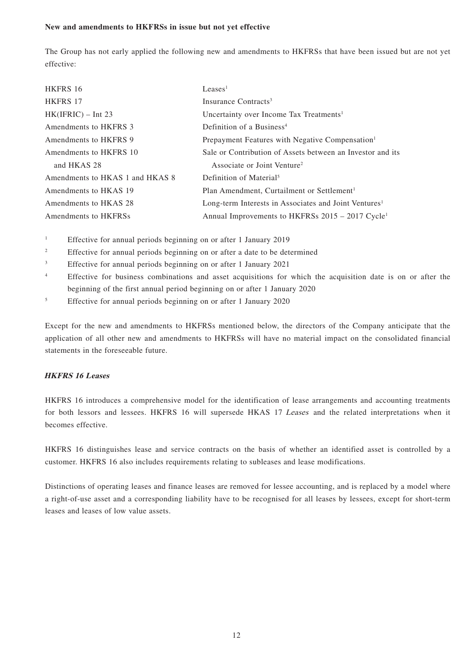#### **New and amendments to HKFRSs in issue but not yet effective**

The Group has not early applied the following new and amendments to HKFRSs that have been issued but are not yet effective:

| <b>HKFRS 16</b>                 | Leases <sup>1</sup>                                               |
|---------------------------------|-------------------------------------------------------------------|
| <b>HKFRS 17</b>                 | Insurance Contracts <sup>3</sup>                                  |
| $HK(IFRIC) - Int 23$            | Uncertainty over Income Tax Treatments <sup>1</sup>               |
| Amendments to HKFRS 3           | Definition of a Business <sup>4</sup>                             |
| Amendments to HKFRS 9           | Prepayment Features with Negative Compensation <sup>1</sup>       |
| Amendments to HKFRS 10          | Sale or Contribution of Assets between an Investor and its        |
| and HKAS 28                     | Associate or Joint Venture <sup>2</sup>                           |
| Amendments to HKAS 1 and HKAS 8 | Definition of Material <sup>5</sup>                               |
| Amendments to HKAS 19           | Plan Amendment, Curtailment or Settlement <sup>1</sup>            |
| Amendments to HKAS 28           | Long-term Interests in Associates and Joint Ventures <sup>1</sup> |
| Amendments to HKFRSs            | Annual Improvements to HKFRSs 2015 – 2017 Cycle <sup>1</sup>      |

1 Effective for annual periods beginning on or after 1 January 2019

- 2 Effective for annual periods beginning on or after a date to be determined
- 3 Effective for annual periods beginning on or after 1 January 2021
- 4 Effective for business combinations and asset acquisitions for which the acquisition date is on or after the beginning of the first annual period beginning on or after 1 January 2020
- 5 Effective for annual periods beginning on or after 1 January 2020

Except for the new and amendments to HKFRSs mentioned below, the directors of the Company anticipate that the application of all other new and amendments to HKFRSs will have no material impact on the consolidated financial statements in the foreseeable future.

### **HKFRS 16 Leases**

HKFRS 16 introduces a comprehensive model for the identification of lease arrangements and accounting treatments for both lessors and lessees. HKFRS 16 will supersede HKAS 17 Leases and the related interpretations when it becomes effective.

HKFRS 16 distinguishes lease and service contracts on the basis of whether an identified asset is controlled by a customer. HKFRS 16 also includes requirements relating to subleases and lease modifications.

Distinctions of operating leases and finance leases are removed for lessee accounting, and is replaced by a model where a right-of-use asset and a corresponding liability have to be recognised for all leases by lessees, except for short-term leases and leases of low value assets.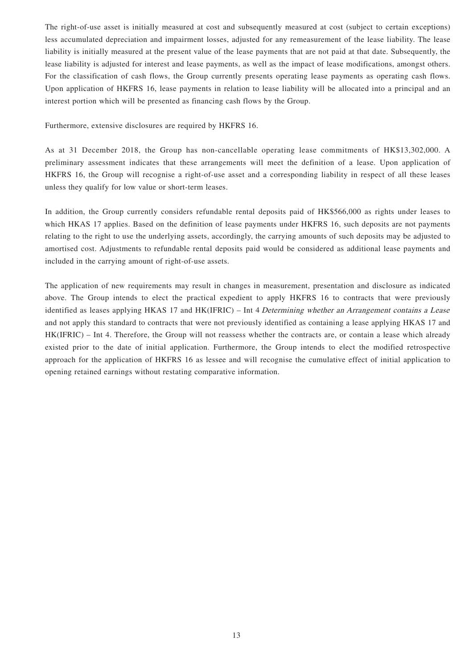The right-of-use asset is initially measured at cost and subsequently measured at cost (subject to certain exceptions) less accumulated depreciation and impairment losses, adjusted for any remeasurement of the lease liability. The lease liability is initially measured at the present value of the lease payments that are not paid at that date. Subsequently, the lease liability is adjusted for interest and lease payments, as well as the impact of lease modifications, amongst others. For the classification of cash flows, the Group currently presents operating lease payments as operating cash flows. Upon application of HKFRS 16, lease payments in relation to lease liability will be allocated into a principal and an interest portion which will be presented as financing cash flows by the Group.

Furthermore, extensive disclosures are required by HKFRS 16.

As at 31 December 2018, the Group has non-cancellable operating lease commitments of HK\$13,302,000. A preliminary assessment indicates that these arrangements will meet the definition of a lease. Upon application of HKFRS 16, the Group will recognise a right-of-use asset and a corresponding liability in respect of all these leases unless they qualify for low value or short-term leases.

In addition, the Group currently considers refundable rental deposits paid of HK\$566,000 as rights under leases to which HKAS 17 applies. Based on the definition of lease payments under HKFRS 16, such deposits are not payments relating to the right to use the underlying assets, accordingly, the carrying amounts of such deposits may be adjusted to amortised cost. Adjustments to refundable rental deposits paid would be considered as additional lease payments and included in the carrying amount of right-of-use assets.

The application of new requirements may result in changes in measurement, presentation and disclosure as indicated above. The Group intends to elect the practical expedient to apply HKFRS 16 to contracts that were previously identified as leases applying HKAS 17 and HK(IFRIC) – Int 4 Determining whether an Arrangement contains a Lease and not apply this standard to contracts that were not previously identified as containing a lease applying HKAS 17 and HK(IFRIC) – Int 4. Therefore, the Group will not reassess whether the contracts are, or contain a lease which already existed prior to the date of initial application. Furthermore, the Group intends to elect the modified retrospective approach for the application of HKFRS 16 as lessee and will recognise the cumulative effect of initial application to opening retained earnings without restating comparative information.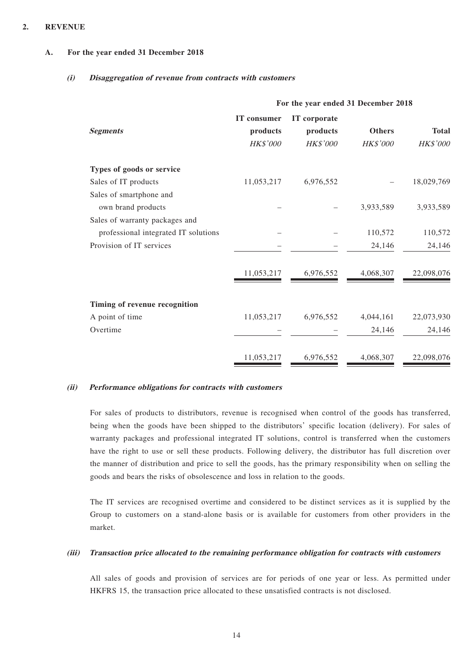### **2. REVENUE**

### **A. For the year ended 31 December 2018**

### **(i) Disaggregation of revenue from contracts with customers**

|                                      | For the year ended 31 December 2018 |              |               |              |  |
|--------------------------------------|-------------------------------------|--------------|---------------|--------------|--|
|                                      | IT consumer                         | IT corporate |               |              |  |
| <b>Segments</b>                      | products                            | products     | <b>Others</b> | <b>Total</b> |  |
|                                      | HK\$'000                            | HK\$'000     | HK\$'000      | HK\$'000     |  |
| Types of goods or service            |                                     |              |               |              |  |
| Sales of IT products                 | 11,053,217                          | 6,976,552    |               | 18,029,769   |  |
| Sales of smartphone and              |                                     |              |               |              |  |
| own brand products                   |                                     |              | 3,933,589     | 3,933,589    |  |
| Sales of warranty packages and       |                                     |              |               |              |  |
| professional integrated IT solutions |                                     |              | 110,572       | 110,572      |  |
| Provision of IT services             |                                     |              | 24,146        | 24,146       |  |
|                                      | 11,053,217                          | 6,976,552    | 4,068,307     | 22,098,076   |  |
| Timing of revenue recognition        |                                     |              |               |              |  |
| A point of time                      | 11,053,217                          | 6,976,552    | 4,044,161     | 22,073,930   |  |
| Overtime                             |                                     |              | 24,146        | 24,146       |  |
|                                      | 11,053,217                          | 6,976,552    | 4,068,307     | 22,098,076   |  |

### **(ii) Performance obligations for contracts with customers**

For sales of products to distributors, revenue is recognised when control of the goods has transferred, being when the goods have been shipped to the distributors' specific location (delivery). For sales of warranty packages and professional integrated IT solutions, control is transferred when the customers have the right to use or sell these products. Following delivery, the distributor has full discretion over the manner of distribution and price to sell the goods, has the primary responsibility when on selling the goods and bears the risks of obsolescence and loss in relation to the goods.

The IT services are recognised overtime and considered to be distinct services as it is supplied by the Group to customers on a stand-alone basis or is available for customers from other providers in the market.

#### **(iii) Transaction price allocated to the remaining performance obligation for contracts with customers**

All sales of goods and provision of services are for periods of one year or less. As permitted under HKFRS 15, the transaction price allocated to these unsatisfied contracts is not disclosed.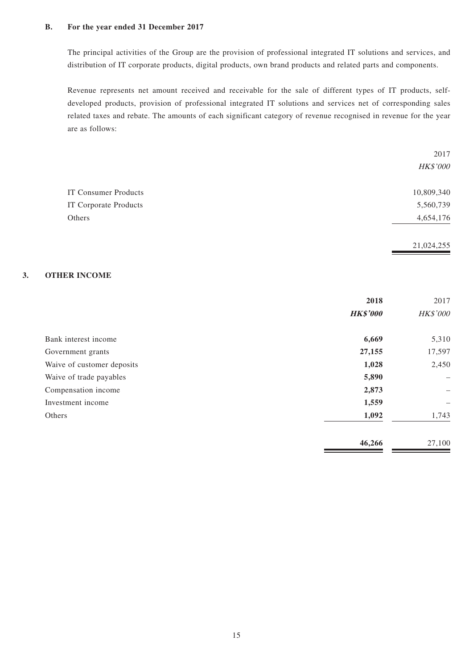### **B. For the year ended 31 December 2017**

The principal activities of the Group are the provision of professional integrated IT solutions and services, and distribution of IT corporate products, digital products, own brand products and related parts and components.

Revenue represents net amount received and receivable for the sale of different types of IT products, selfdeveloped products, provision of professional integrated IT solutions and services net of corresponding sales related taxes and rebate. The amounts of each significant category of revenue recognised in revenue for the year are as follows:

|                             | 2017       |
|-----------------------------|------------|
|                             | HK\$'000   |
| <b>IT Consumer Products</b> | 10,809,340 |
| IT Corporate Products       | 5,560,739  |
| Others                      | 4,654,176  |
|                             | 21,024,255 |

### **3. OTHER INCOME**

|                            | 2018            | 2017            |
|----------------------------|-----------------|-----------------|
|                            | <b>HK\$'000</b> | <b>HK\$'000</b> |
| Bank interest income       | 6,669           | 5,310           |
| Government grants          | 27,155          | 17,597          |
| Waive of customer deposits | 1,028           | 2,450           |
| Waive of trade payables    | 5,890           |                 |
| Compensation income        | 2,873           |                 |
| Investment income          | 1,559           | -               |
| Others                     | 1,092           | 1,743           |
|                            | 46,266          | 27,100          |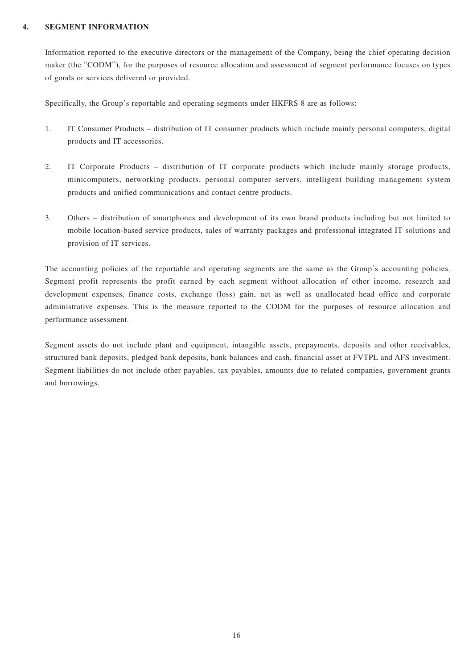### **4. SEGMENT INFORMATION**

Information reported to the executive directors or the management of the Company, being the chief operating decision maker (the "CODM"), for the purposes of resource allocation and assessment of segment performance focuses on types of goods or services delivered or provided.

Specifically, the Group's reportable and operating segments under HKFRS 8 are as follows:

- 1. IT Consumer Products distribution of IT consumer products which include mainly personal computers, digital products and IT accessories.
- 2. IT Corporate Products distribution of IT corporate products which include mainly storage products, minicomputers, networking products, personal computer servers, intelligent building management system products and unified communications and contact centre products.
- 3. Others distribution of smartphones and development of its own brand products including but not limited to mobile location-based service products, sales of warranty packages and professional integrated IT solutions and provision of IT services.

The accounting policies of the reportable and operating segments are the same as the Group's accounting policies. Segment profit represents the profit earned by each segment without allocation of other income, research and development expenses, finance costs, exchange (loss) gain, net as well as unallocated head office and corporate administrative expenses. This is the measure reported to the CODM for the purposes of resource allocation and performance assessment.

Segment assets do not include plant and equipment, intangible assets, prepayments, deposits and other receivables, structured bank deposits, pledged bank deposits, bank balances and cash, financial asset at FVTPL and AFS investment. Segment liabilities do not include other payables, tax payables, amounts due to related companies, government grants and borrowings.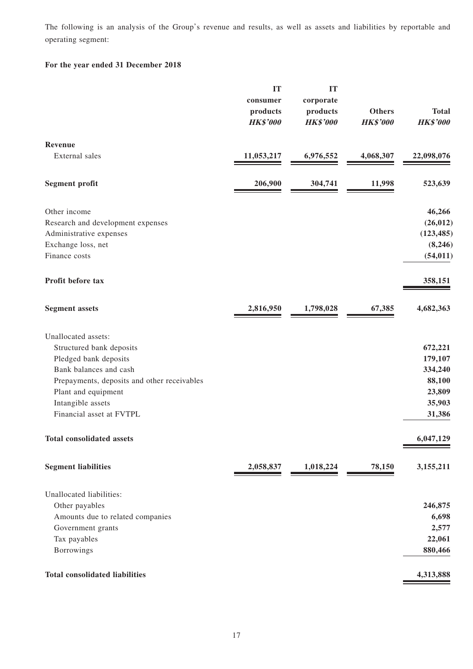The following is an analysis of the Group's revenue and results, as well as assets and liabilities by reportable and operating segment:

### **For the year ended 31 December 2018**

|                                             | IT              | IT              |                 |                 |
|---------------------------------------------|-----------------|-----------------|-----------------|-----------------|
|                                             | consumer        | corporate       |                 |                 |
|                                             | products        | products        | <b>Others</b>   | <b>Total</b>    |
|                                             | <b>HK\$'000</b> | <b>HK\$'000</b> | <b>HK\$'000</b> | <b>HK\$'000</b> |
| Revenue                                     |                 |                 |                 |                 |
| External sales                              | 11,053,217      | 6,976,552       | 4,068,307       | 22,098,076      |
| <b>Segment profit</b>                       | 206,900         | 304,741         | 11,998          | 523,639         |
| Other income                                |                 |                 |                 | 46,266          |
| Research and development expenses           |                 |                 |                 | (26, 012)       |
| Administrative expenses                     |                 |                 |                 | (123, 485)      |
| Exchange loss, net                          |                 |                 |                 | (8,246)         |
| Finance costs                               |                 |                 |                 | (54, 011)       |
| Profit before tax                           |                 |                 |                 | 358,151         |
| <b>Segment assets</b>                       | 2,816,950       | 1,798,028       | 67,385          | 4,682,363       |
| Unallocated assets:                         |                 |                 |                 |                 |
| Structured bank deposits                    |                 |                 |                 | 672,221         |
| Pledged bank deposits                       |                 |                 |                 | 179,107         |
| Bank balances and cash                      |                 |                 |                 | 334,240         |
| Prepayments, deposits and other receivables |                 |                 |                 | 88,100          |
| Plant and equipment                         |                 |                 |                 | 23,809          |
| Intangible assets                           |                 |                 |                 | 35,903          |
| Financial asset at FVTPL                    |                 |                 |                 | 31,386          |
| <b>Total consolidated assets</b>            |                 |                 |                 | 6,047,129       |
| <b>Segment liabilities</b>                  | 2,058,837       | 1,018,224       | 78,150          | 3,155,211       |
| Unallocated liabilities:                    |                 |                 |                 |                 |
| Other payables                              |                 |                 |                 | 246,875         |
| Amounts due to related companies            |                 |                 |                 | 6,698           |
| Government grants                           |                 |                 |                 | 2,577           |
| Tax payables                                |                 |                 |                 | 22,061          |
| Borrowings                                  |                 |                 |                 | 880,466         |
| <b>Total consolidated liabilities</b>       |                 |                 |                 | 4,313,888       |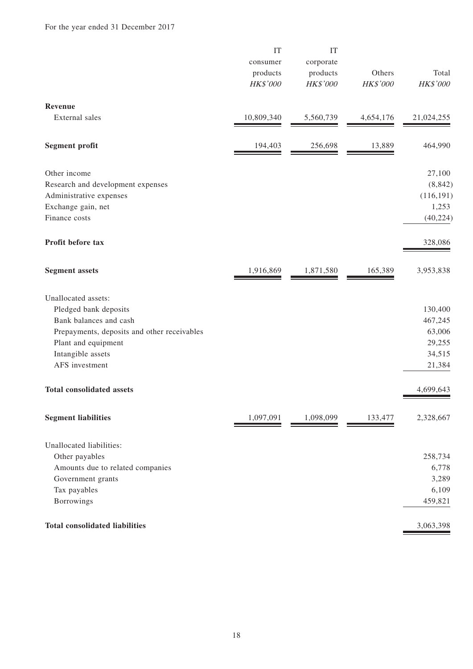|                                             | IT<br>consumer<br>products<br>HK\$'000 | IT<br>corporate<br>products<br>HK\$'000 | Others<br>HK\$'000 | Total<br>HK\$'000 |
|---------------------------------------------|----------------------------------------|-----------------------------------------|--------------------|-------------------|
| Revenue                                     |                                        |                                         |                    |                   |
| External sales                              | 10,809,340                             | 5,560,739                               | 4,654,176          | 21,024,255        |
| <b>Segment profit</b>                       | 194,403                                | 256,698                                 | 13,889             | 464,990           |
| Other income                                |                                        |                                         |                    | 27,100            |
| Research and development expenses           |                                        |                                         |                    | (8, 842)          |
| Administrative expenses                     |                                        |                                         |                    | (116, 191)        |
| Exchange gain, net                          |                                        |                                         |                    | 1,253             |
| Finance costs                               |                                        |                                         |                    | (40, 224)         |
| Profit before tax                           |                                        |                                         |                    | 328,086           |
| <b>Segment assets</b>                       | 1,916,869                              | 1,871,580                               | 165,389            | 3,953,838         |
| Unallocated assets:                         |                                        |                                         |                    |                   |
| Pledged bank deposits                       |                                        |                                         |                    | 130,400           |
| Bank balances and cash                      |                                        |                                         |                    | 467,245           |
| Prepayments, deposits and other receivables |                                        |                                         |                    | 63,006            |
| Plant and equipment                         |                                        |                                         |                    | 29,255            |
| Intangible assets                           |                                        |                                         |                    | 34,515            |
| AFS investment                              |                                        |                                         |                    | 21,384            |
| <b>Total consolidated assets</b>            |                                        |                                         |                    | 4,699,643         |
| <b>Segment liabilities</b>                  | 1,097,091                              | 1,098,099                               | 133,477            | 2,328,667         |
| Unallocated liabilities:                    |                                        |                                         |                    |                   |
| Other payables                              |                                        |                                         |                    | 258,734           |
| Amounts due to related companies            |                                        |                                         |                    | 6,778             |
| Government grants                           |                                        |                                         |                    | 3,289             |
| Tax payables                                |                                        |                                         |                    | 6,109             |
| Borrowings                                  |                                        |                                         |                    | 459,821           |
| <b>Total consolidated liabilities</b>       |                                        |                                         |                    | 3,063,398         |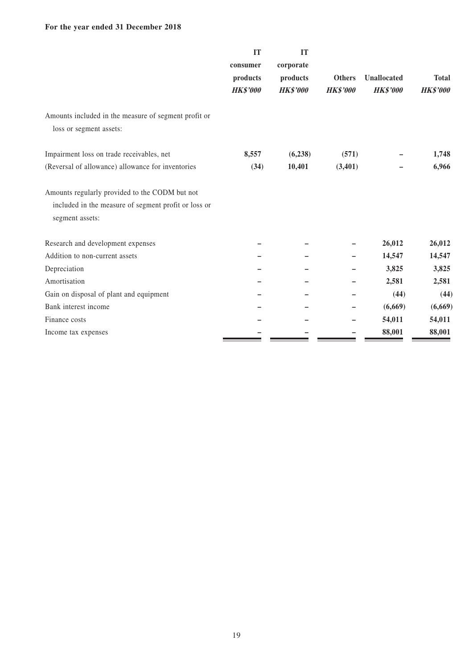### **For the year ended 31 December 2018**

|                                                                                                                           | <b>IT</b><br>consumer<br>products<br><b>HK\$'000</b> | IT<br>corporate<br>products<br><b>HK\$'000</b> | <b>Others</b><br><b>HK\$'000</b> | <b>Unallocated</b><br><b>HK\$'000</b> | <b>Total</b><br><b>HK\$'000</b> |
|---------------------------------------------------------------------------------------------------------------------------|------------------------------------------------------|------------------------------------------------|----------------------------------|---------------------------------------|---------------------------------|
| Amounts included in the measure of segment profit or<br>loss or segment assets:                                           |                                                      |                                                |                                  |                                       |                                 |
| Impairment loss on trade receivables, net<br>(Reversal of allowance) allowance for inventories                            | 8,557<br>(34)                                        | (6, 238)<br>10,401                             | (571)<br>(3,401)                 |                                       | 1,748<br>6,966                  |
| Amounts regularly provided to the CODM but not<br>included in the measure of segment profit or loss or<br>segment assets: |                                                      |                                                |                                  |                                       |                                 |
| Research and development expenses                                                                                         |                                                      |                                                |                                  | 26,012                                | 26,012                          |
| Addition to non-current assets                                                                                            |                                                      |                                                |                                  | 14,547                                | 14,547                          |
| Depreciation                                                                                                              |                                                      |                                                |                                  | 3,825                                 | 3,825                           |
| Amortisation                                                                                                              |                                                      |                                                |                                  | 2,581                                 | 2,581                           |
| Gain on disposal of plant and equipment                                                                                   |                                                      |                                                |                                  | (44)                                  | (44)                            |
| Bank interest income                                                                                                      |                                                      |                                                |                                  | (6,669)                               | (6,669)                         |
| Finance costs                                                                                                             |                                                      |                                                |                                  | 54,011                                | 54,011                          |
| Income tax expenses                                                                                                       |                                                      |                                                |                                  | 88,001                                | 88,001                          |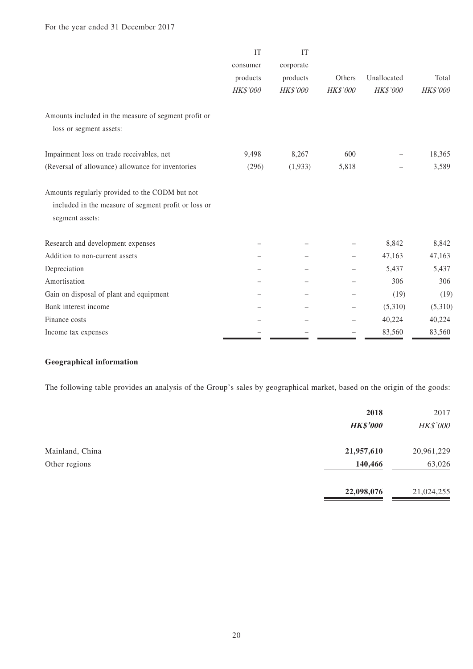|                                                                         | IT              | IT              |          |                 |              |
|-------------------------------------------------------------------------|-----------------|-----------------|----------|-----------------|--------------|
|                                                                         | consumer        | corporate       |          |                 |              |
|                                                                         | products        | products        | Others   | Unallocated     | Total        |
|                                                                         | <b>HK\$'000</b> | <b>HK\$'000</b> | HK\$'000 | <b>HK\$'000</b> | $H K\$$ '000 |
| Amounts included in the measure of segment profit or                    |                 |                 |          |                 |              |
| loss or segment assets:                                                 |                 |                 |          |                 |              |
| Impairment loss on trade receivables, net                               | 9,498           | 8,267           | 600      |                 | 18,365       |
| (Reversal of allowance) allowance for inventories                       | (296)           | (1,933)         | 5,818    |                 | 3,589        |
| Amounts regularly provided to the CODM but not                          |                 |                 |          |                 |              |
| included in the measure of segment profit or loss or<br>segment assets: |                 |                 |          |                 |              |
|                                                                         |                 |                 |          |                 |              |
| Research and development expenses                                       |                 |                 |          | 8,842           | 8,842        |
| Addition to non-current assets                                          |                 |                 |          | 47,163          | 47,163       |
| Depreciation                                                            |                 |                 |          | 5,437           | 5,437        |
| Amortisation                                                            |                 |                 |          | 306             | 306          |
| Gain on disposal of plant and equipment                                 |                 |                 |          | (19)            | (19)         |
| Bank interest income                                                    |                 |                 |          | (5,310)         | (5,310)      |
| Finance costs                                                           |                 |                 |          | 40,224          | 40,224       |
| Income tax expenses                                                     |                 |                 |          | 83,560          | 83,560       |

### **Geographical information**

The following table provides an analysis of the Group's sales by geographical market, based on the origin of the goods:

|                 | 2018<br><b>HK\$'000</b> | 2017<br>HK\$'000 |
|-----------------|-------------------------|------------------|
| Mainland, China | 21,957,610              | 20,961,229       |
| Other regions   | 140,466                 | 63,026           |
|                 | 22,098,076              | 21,024,255       |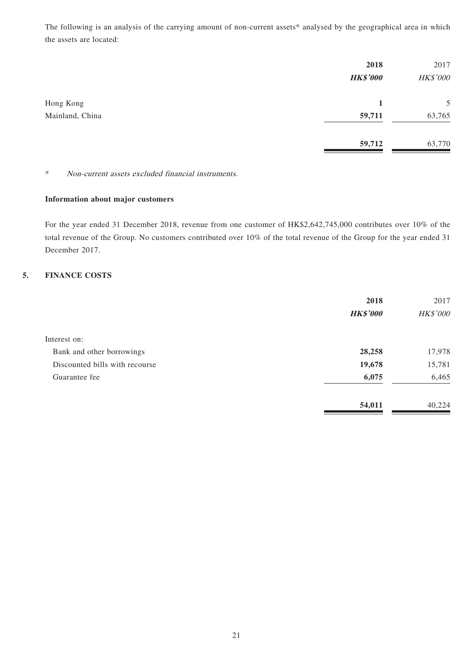The following is an analysis of the carrying amount of non-current assets\* analysed by the geographical area in which the assets are located:

|                              | 2018<br><b>HK\$'000</b> | 2017<br>HK\$'000 |
|------------------------------|-------------------------|------------------|
| Hong Kong<br>Mainland, China | 1<br>59,711             | 5<br>63,765      |
|                              | 59,712                  | 63,770           |

\* Non-current assets excluded financial instruments.

### **Information about major customers**

For the year ended 31 December 2018, revenue from one customer of HK\$2,642,745,000 contributes over 10% of the total revenue of the Group. No customers contributed over 10% of the total revenue of the Group for the year ended 31 December 2017.

### **5. FINANCE COSTS**

|                                | 2018            | 2017     |
|--------------------------------|-----------------|----------|
|                                | <b>HK\$'000</b> | HK\$'000 |
| Interest on:                   |                 |          |
| Bank and other borrowings      | 28,258          | 17,978   |
| Discounted bills with recourse | 19,678          | 15,781   |
| Guarantee fee                  | 6,075           | 6,465    |
|                                | 54,011          | 40,224   |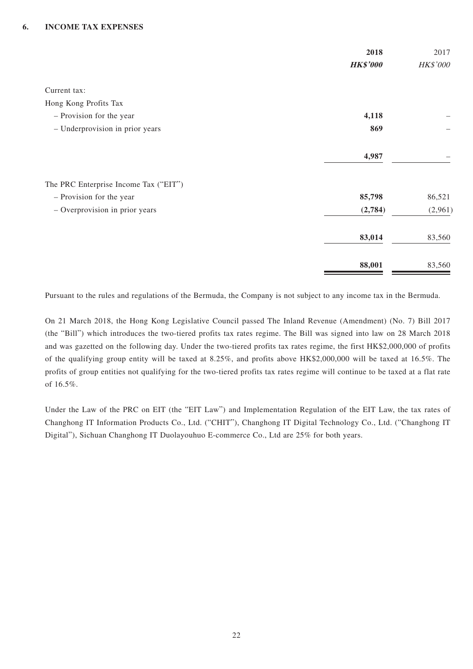### **6. INCOME TAX EXPENSES**

|                                       | 2018            | 2017     |
|---------------------------------------|-----------------|----------|
|                                       | <b>HK\$'000</b> | HK\$'000 |
| Current tax:                          |                 |          |
| Hong Kong Profits Tax                 |                 |          |
| - Provision for the year              | 4,118           |          |
| - Underprovision in prior years       | 869             |          |
|                                       | 4,987           |          |
| The PRC Enterprise Income Tax ("EIT") |                 |          |
| - Provision for the year              | 85,798          | 86,521   |
| - Overprovision in prior years        | (2,784)         | (2,961)  |
|                                       | 83,014          | 83,560   |
|                                       | 88,001          | 83,560   |

Pursuant to the rules and regulations of the Bermuda, the Company is not subject to any income tax in the Bermuda.

On 21 March 2018, the Hong Kong Legislative Council passed The Inland Revenue (Amendment) (No. 7) Bill 2017 (the "Bill") which introduces the two-tiered profits tax rates regime. The Bill was signed into law on 28 March 2018 and was gazetted on the following day. Under the two-tiered profits tax rates regime, the first HK\$2,000,000 of profits of the qualifying group entity will be taxed at 8.25%, and profits above HK\$2,000,000 will be taxed at 16.5%. The profits of group entities not qualifying for the two-tiered profits tax rates regime will continue to be taxed at a flat rate of 16.5%.

Under the Law of the PRC on EIT (the "EIT Law") and Implementation Regulation of the EIT Law, the tax rates of Changhong IT Information Products Co., Ltd. ("CHIT"), Changhong IT Digital Technology Co., Ltd. ("Changhong IT Digital"), Sichuan Changhong IT Duolayouhuo E-commerce Co., Ltd are 25% for both years.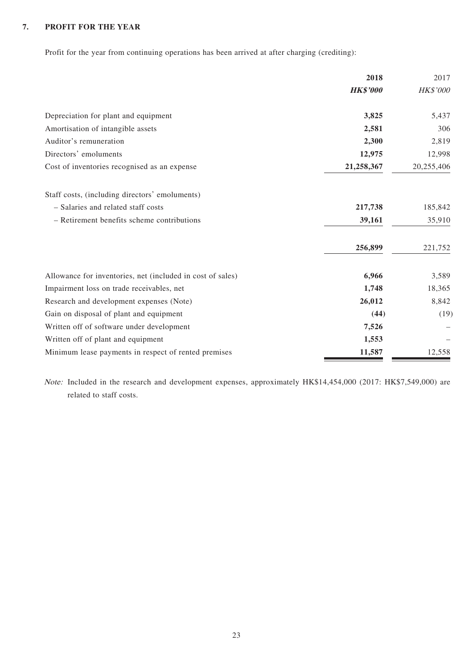### **7. PROFIT FOR THE YEAR**

Profit for the year from continuing operations has been arrived at after charging (crediting):

|                                                            | 2018            | 2017            |
|------------------------------------------------------------|-----------------|-----------------|
|                                                            | <b>HK\$'000</b> | <b>HK\$'000</b> |
| Depreciation for plant and equipment                       | 3,825           | 5,437           |
| Amortisation of intangible assets                          | 2,581           | 306             |
| Auditor's remuneration                                     | 2,300           | 2,819           |
| Directors' emoluments                                      | 12,975          | 12,998          |
| Cost of inventories recognised as an expense               | 21,258,367      | 20,255,406      |
| Staff costs, (including directors' emoluments)             |                 |                 |
| - Salaries and related staff costs                         | 217,738         | 185,842         |
| - Retirement benefits scheme contributions                 | 39,161          | 35,910          |
|                                                            | 256,899         | 221,752         |
| Allowance for inventories, net (included in cost of sales) | 6,966           | 3,589           |
| Impairment loss on trade receivables, net                  | 1,748           | 18,365          |
| Research and development expenses (Note)                   | 26,012          | 8,842           |
| Gain on disposal of plant and equipment                    | (44)            | (19)            |
| Written off of software under development                  | 7,526           |                 |
| Written off of plant and equipment                         | 1,553           |                 |
| Minimum lease payments in respect of rented premises       | 11,587          | 12,558          |

Note: Included in the research and development expenses, approximately HK\$14,454,000 (2017: HK\$7,549,000) are related to staff costs.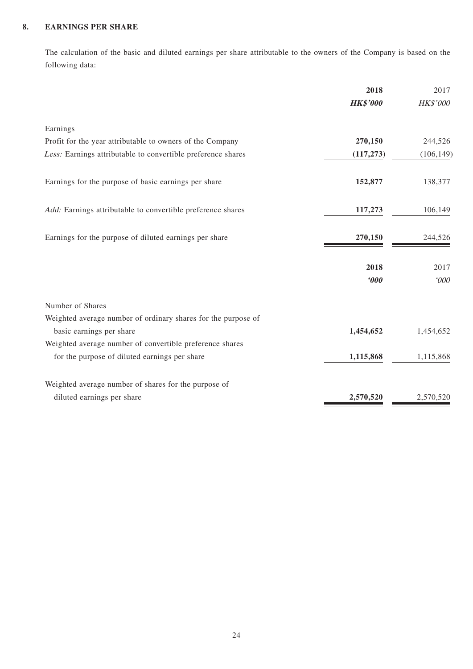### **8. EARNINGS PER SHARE**

The calculation of the basic and diluted earnings per share attributable to the owners of the Company is based on the following data:

|                                                               | 2018                  | 2017       |
|---------------------------------------------------------------|-----------------------|------------|
|                                                               | <b>HK\$'000</b>       | HK\$'000   |
| Earnings                                                      |                       |            |
| Profit for the year attributable to owners of the Company     | 270,150               | 244,526    |
| Less: Earnings attributable to convertible preference shares  | (117, 273)            | (106, 149) |
| Earnings for the purpose of basic earnings per share          | 152,877               | 138,377    |
| Add: Earnings attributable to convertible preference shares   | 117,273               | 106,149    |
| Earnings for the purpose of diluted earnings per share        | 270,150               | 244,526    |
|                                                               | 2018                  | 2017       |
|                                                               | $\boldsymbol{\theta}$ | 000'       |
| Number of Shares                                              |                       |            |
| Weighted average number of ordinary shares for the purpose of |                       |            |
| basic earnings per share                                      | 1,454,652             | 1,454,652  |
| Weighted average number of convertible preference shares      |                       |            |
| for the purpose of diluted earnings per share                 | 1,115,868             | 1,115,868  |
| Weighted average number of shares for the purpose of          |                       |            |
| diluted earnings per share                                    | 2,570,520             | 2,570,520  |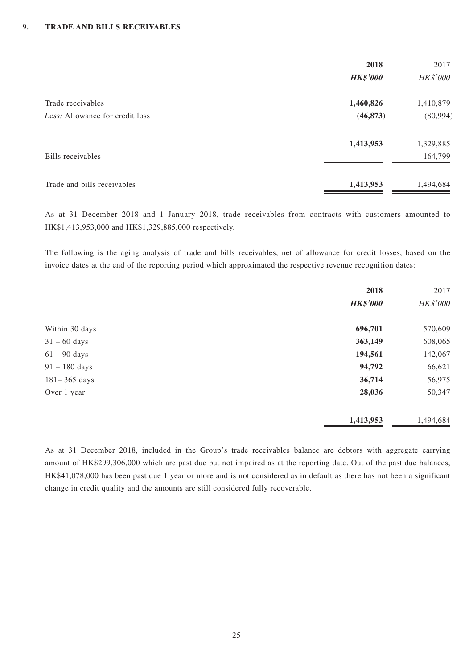|                                 | 2018            | 2017            |
|---------------------------------|-----------------|-----------------|
|                                 | <b>HK\$'000</b> | <b>HK\$'000</b> |
| Trade receivables               | 1,460,826       | 1,410,879       |
| Less: Allowance for credit loss | (46, 873)       | (80, 994)       |
|                                 | 1,413,953       | 1,329,885       |
| Bills receivables               |                 | 164,799         |
| Trade and bills receivables     | 1,413,953       | 1,494,684       |

As at 31 December 2018 and 1 January 2018, trade receivables from contracts with customers amounted to HK\$1,413,953,000 and HK\$1,329,885,000 respectively.

The following is the aging analysis of trade and bills receivables, net of allowance for credit losses, based on the invoice dates at the end of the reporting period which approximated the respective revenue recognition dates:

|                  | 2018            | 2017      |
|------------------|-----------------|-----------|
|                  | <b>HK\$'000</b> | HK\$'000  |
| Within 30 days   | 696,701         | 570,609   |
| $31 - 60$ days   | 363,149         | 608,065   |
| $61 - 90$ days   | 194,561         | 142,067   |
| $91 - 180$ days  | 94,792          | 66,621    |
| $181 - 365$ days | 36,714          | 56,975    |
| Over 1 year      | 28,036          | 50,347    |
|                  | 1,413,953       | 1,494,684 |

As at 31 December 2018, included in the Group's trade receivables balance are debtors with aggregate carrying amount of HK\$299,306,000 which are past due but not impaired as at the reporting date. Out of the past due balances, HK\$41,078,000 has been past due 1 year or more and is not considered as in default as there has not been a significant change in credit quality and the amounts are still considered fully recoverable.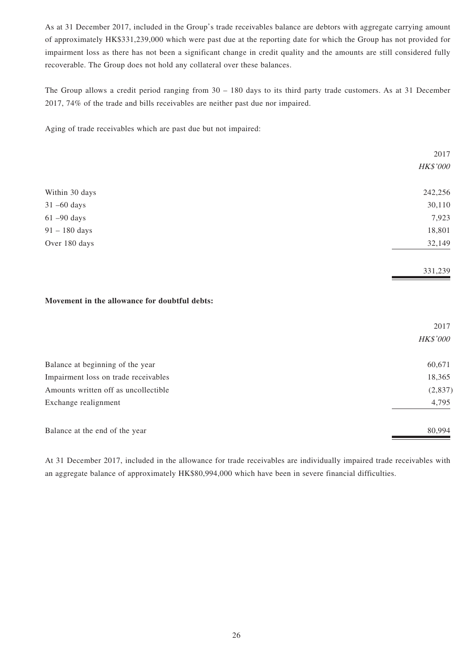As at 31 December 2017, included in the Group's trade receivables balance are debtors with aggregate carrying amount of approximately HK\$331,239,000 which were past due at the reporting date for which the Group has not provided for impairment loss as there has not been a significant change in credit quality and the amounts are still considered fully recoverable. The Group does not hold any collateral over these balances.

The Group allows a credit period ranging from 30 – 180 days to its third party trade customers. As at 31 December 2017, 74% of the trade and bills receivables are neither past due nor impaired.

Aging of trade receivables which are past due but not impaired:

|                                               | 2017     |
|-----------------------------------------------|----------|
|                                               | HK\$'000 |
| Within 30 days                                | 242,256  |
| $31 - 60$ days                                | 30,110   |
| $61 - 90$ days                                | 7,923    |
| $91 - 180$ days                               | 18,801   |
| Over 180 days                                 | 32,149   |
|                                               | 331,239  |
| Movement in the allowance for doubtful debts: |          |
|                                               | 2017     |

|                                      | <i>HK\$'000</i> |
|--------------------------------------|-----------------|
| Balance at beginning of the year     | 60,671          |
| Impairment loss on trade receivables | 18,365          |
| Amounts written off as uncollectible | (2,837)         |
| Exchange realignment                 | 4,795           |
| Balance at the end of the year       | 80.994          |

At 31 December 2017, included in the allowance for trade receivables are individually impaired trade receivables with an aggregate balance of approximately HK\$80,994,000 which have been in severe financial difficulties.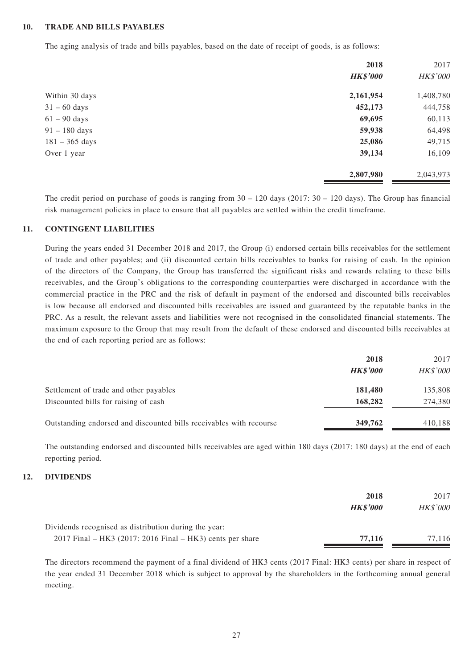### **10. TRADE AND BILLS PAYABLES**

The aging analysis of trade and bills payables, based on the date of receipt of goods, is as follows:

|                  | 2018            | 2017      |
|------------------|-----------------|-----------|
|                  | <b>HK\$'000</b> | HK\$'000  |
| Within 30 days   | 2,161,954       | 1,408,780 |
| $31 - 60$ days   | 452,173         | 444,758   |
| $61 - 90$ days   | 69,695          | 60,113    |
| $91 - 180$ days  | 59,938          | 64,498    |
| $181 - 365$ days | 25,086          | 49,715    |
| Over 1 year      | 39,134          | 16,109    |
|                  | 2,807,980       | 2,043,973 |

The credit period on purchase of goods is ranging from  $30 - 120$  days (2017:  $30 - 120$  days). The Group has financial risk management policies in place to ensure that all payables are settled within the credit timeframe.

#### **11. CONTINGENT LIABILITIES**

During the years ended 31 December 2018 and 2017, the Group (i) endorsed certain bills receivables for the settlement of trade and other payables; and (ii) discounted certain bills receivables to banks for raising of cash. In the opinion of the directors of the Company, the Group has transferred the significant risks and rewards relating to these bills receivables, and the Group's obligations to the corresponding counterparties were discharged in accordance with the commercial practice in the PRC and the risk of default in payment of the endorsed and discounted bills receivables is low because all endorsed and discounted bills receivables are issued and guaranteed by the reputable banks in the PRC. As a result, the relevant assets and liabilities were not recognised in the consolidated financial statements. The maximum exposure to the Group that may result from the default of these endorsed and discounted bills receivables at the end of each reporting period are as follows:

|                                                                     | 2018            | 2017            |
|---------------------------------------------------------------------|-----------------|-----------------|
|                                                                     | <b>HK\$'000</b> | <b>HK\$'000</b> |
| Settlement of trade and other payables                              | 181,480         | 135,808         |
| Discounted bills for raising of cash                                | 168,282         | 274,380         |
| Outstanding endorsed and discounted bills receivables with recourse | 349,762         | 410.188         |

The outstanding endorsed and discounted bills receivables are aged within 180 days (2017: 180 days) at the end of each reporting period.

### **12. DIVIDENDS**

|                                                             | 2018            | 2017            |
|-------------------------------------------------------------|-----------------|-----------------|
|                                                             | <b>HK\$'000</b> | <b>HK\$'000</b> |
| Dividends recognised as distribution during the year:       |                 |                 |
| $2017$ Final – HK3 (2017: 2016 Final – HK3) cents per share | 77,116          | 77.116          |

The directors recommend the payment of a final dividend of HK3 cents (2017 Final: HK3 cents) per share in respect of the year ended 31 December 2018 which is subject to approval by the shareholders in the forthcoming annual general meeting.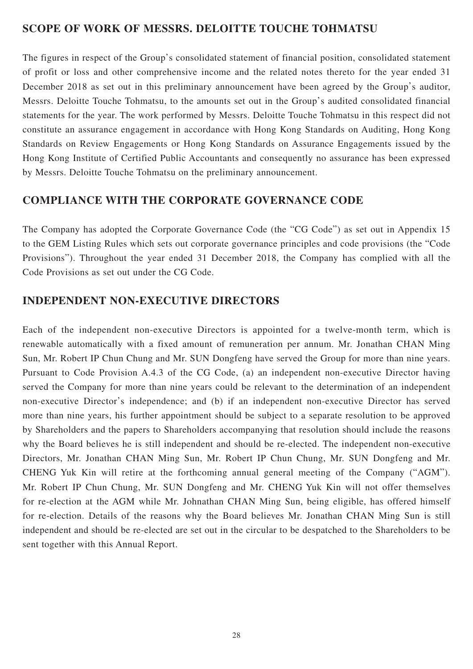## **SCOPE OF WORK OF MESSRS. DELOITTE TOUCHE TOHMATSU**

The figures in respect of the Group's consolidated statement of financial position, consolidated statement of profit or loss and other comprehensive income and the related notes thereto for the year ended 31 December 2018 as set out in this preliminary announcement have been agreed by the Group's auditor, Messrs. Deloitte Touche Tohmatsu, to the amounts set out in the Group's audited consolidated financial statements for the year. The work performed by Messrs. Deloitte Touche Tohmatsu in this respect did not constitute an assurance engagement in accordance with Hong Kong Standards on Auditing, Hong Kong Standards on Review Engagements or Hong Kong Standards on Assurance Engagements issued by the Hong Kong Institute of Certified Public Accountants and consequently no assurance has been expressed by Messrs. Deloitte Touche Tohmatsu on the preliminary announcement.

## **COMPLIANCE WITH THE CORPORATE GOVERNANCE CODE**

The Company has adopted the Corporate Governance Code (the "CG Code") as set out in Appendix 15 to the GEM Listing Rules which sets out corporate governance principles and code provisions (the "Code Provisions"). Throughout the year ended 31 December 2018, the Company has complied with all the Code Provisions as set out under the CG Code.

## **INDEPENDENT NON-EXECUTIVE DIRECTORS**

Each of the independent non-executive Directors is appointed for a twelve-month term, which is renewable automatically with a fixed amount of remuneration per annum. Mr. Jonathan CHAN Ming Sun, Mr. Robert IP Chun Chung and Mr. SUN Dongfeng have served the Group for more than nine years. Pursuant to Code Provision A.4.3 of the CG Code, (a) an independent non-executive Director having served the Company for more than nine years could be relevant to the determination of an independent non-executive Director's independence; and (b) if an independent non-executive Director has served more than nine years, his further appointment should be subject to a separate resolution to be approved by Shareholders and the papers to Shareholders accompanying that resolution should include the reasons why the Board believes he is still independent and should be re-elected. The independent non-executive Directors, Mr. Jonathan CHAN Ming Sun, Mr. Robert IP Chun Chung, Mr. SUN Dongfeng and Mr. CHENG Yuk Kin will retire at the forthcoming annual general meeting of the Company ("AGM"). Mr. Robert IP Chun Chung, Mr. SUN Dongfeng and Mr. CHENG Yuk Kin will not offer themselves for re-election at the AGM while Mr. Johnathan CHAN Ming Sun, being eligible, has offered himself for re-election. Details of the reasons why the Board believes Mr. Jonathan CHAN Ming Sun is still independent and should be re-elected are set out in the circular to be despatched to the Shareholders to be sent together with this Annual Report.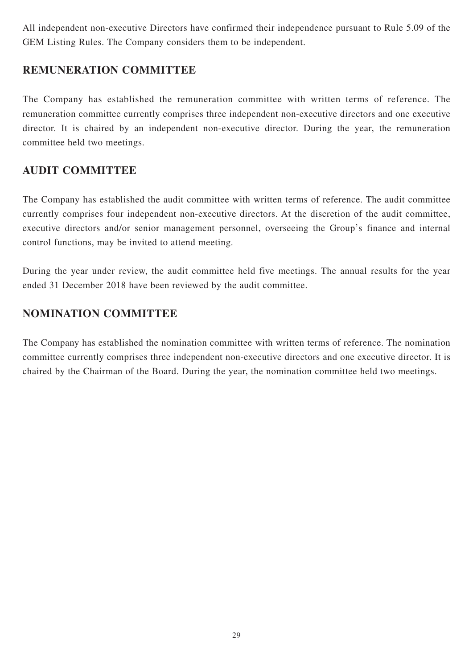All independent non-executive Directors have confirmed their independence pursuant to Rule 5.09 of the GEM Listing Rules. The Company considers them to be independent.

## **REMUNERATION COMMITTEE**

The Company has established the remuneration committee with written terms of reference. The remuneration committee currently comprises three independent non-executive directors and one executive director. It is chaired by an independent non-executive director. During the year, the remuneration committee held two meetings.

## **AUDIT COMMITTEE**

The Company has established the audit committee with written terms of reference. The audit committee currently comprises four independent non-executive directors. At the discretion of the audit committee, executive directors and/or senior management personnel, overseeing the Group's finance and internal control functions, may be invited to attend meeting.

During the year under review, the audit committee held five meetings. The annual results for the year ended 31 December 2018 have been reviewed by the audit committee.

# **NOMINATION COMMITTEE**

The Company has established the nomination committee with written terms of reference. The nomination committee currently comprises three independent non-executive directors and one executive director. It is chaired by the Chairman of the Board. During the year, the nomination committee held two meetings.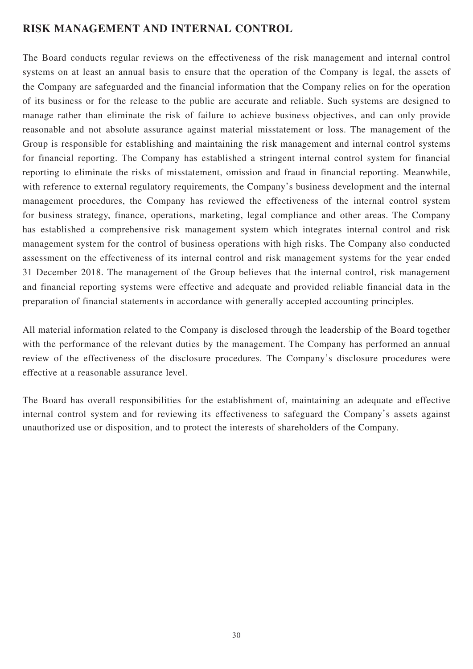## **RISK MANAGEMENT AND INTERNAL CONTROL**

The Board conducts regular reviews on the effectiveness of the risk management and internal control systems on at least an annual basis to ensure that the operation of the Company is legal, the assets of the Company are safeguarded and the financial information that the Company relies on for the operation of its business or for the release to the public are accurate and reliable. Such systems are designed to manage rather than eliminate the risk of failure to achieve business objectives, and can only provide reasonable and not absolute assurance against material misstatement or loss. The management of the Group is responsible for establishing and maintaining the risk management and internal control systems for financial reporting. The Company has established a stringent internal control system for financial reporting to eliminate the risks of misstatement, omission and fraud in financial reporting. Meanwhile, with reference to external regulatory requirements, the Company's business development and the internal management procedures, the Company has reviewed the effectiveness of the internal control system for business strategy, finance, operations, marketing, legal compliance and other areas. The Company has established a comprehensive risk management system which integrates internal control and risk management system for the control of business operations with high risks. The Company also conducted assessment on the effectiveness of its internal control and risk management systems for the year ended 31 December 2018. The management of the Group believes that the internal control, risk management and financial reporting systems were effective and adequate and provided reliable financial data in the preparation of financial statements in accordance with generally accepted accounting principles.

All material information related to the Company is disclosed through the leadership of the Board together with the performance of the relevant duties by the management. The Company has performed an annual review of the effectiveness of the disclosure procedures. The Company's disclosure procedures were effective at a reasonable assurance level.

The Board has overall responsibilities for the establishment of, maintaining an adequate and effective internal control system and for reviewing its effectiveness to safeguard the Company's assets against unauthorized use or disposition, and to protect the interests of shareholders of the Company.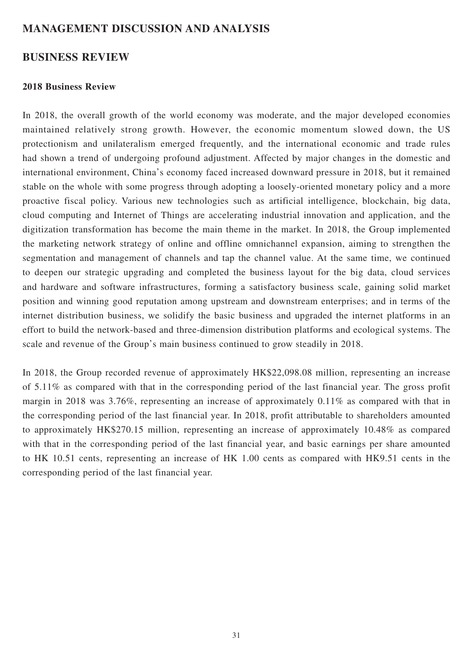## **MANAGEMENT DISCUSSION AND ANALYSIS**

## **BUSINESS REVIEW**

### **2018 Business Review**

In 2018, the overall growth of the world economy was moderate, and the major developed economies maintained relatively strong growth. However, the economic momentum slowed down, the US protectionism and unilateralism emerged frequently, and the international economic and trade rules had shown a trend of undergoing profound adjustment. Affected by major changes in the domestic and international environment, China's economy faced increased downward pressure in 2018, but it remained stable on the whole with some progress through adopting a loosely-oriented monetary policy and a more proactive fiscal policy. Various new technologies such as artificial intelligence, blockchain, big data, cloud computing and Internet of Things are accelerating industrial innovation and application, and the digitization transformation has become the main theme in the market. In 2018, the Group implemented the marketing network strategy of online and offline omnichannel expansion, aiming to strengthen the segmentation and management of channels and tap the channel value. At the same time, we continued to deepen our strategic upgrading and completed the business layout for the big data, cloud services and hardware and software infrastructures, forming a satisfactory business scale, gaining solid market position and winning good reputation among upstream and downstream enterprises; and in terms of the internet distribution business, we solidify the basic business and upgraded the internet platforms in an effort to build the network-based and three-dimension distribution platforms and ecological systems. The scale and revenue of the Group's main business continued to grow steadily in 2018.

In 2018, the Group recorded revenue of approximately HK\$22,098.08 million, representing an increase of 5.11% as compared with that in the corresponding period of the last financial year. The gross profit margin in 2018 was 3.76%, representing an increase of approximately 0.11% as compared with that in the corresponding period of the last financial year. In 2018, profit attributable to shareholders amounted to approximately HK\$270.15 million, representing an increase of approximately 10.48% as compared with that in the corresponding period of the last financial year, and basic earnings per share amounted to HK 10.51 cents, representing an increase of HK 1.00 cents as compared with HK9.51 cents in the corresponding period of the last financial year.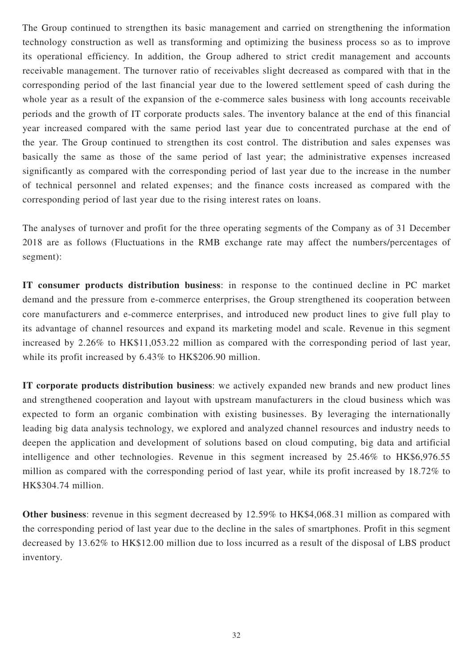The Group continued to strengthen its basic management and carried on strengthening the information technology construction as well as transforming and optimizing the business process so as to improve its operational efficiency. In addition, the Group adhered to strict credit management and accounts receivable management. The turnover ratio of receivables slight decreased as compared with that in the corresponding period of the last financial year due to the lowered settlement speed of cash during the whole year as a result of the expansion of the e-commerce sales business with long accounts receivable periods and the growth of IT corporate products sales. The inventory balance at the end of this financial year increased compared with the same period last year due to concentrated purchase at the end of the year. The Group continued to strengthen its cost control. The distribution and sales expenses was basically the same as those of the same period of last year; the administrative expenses increased significantly as compared with the corresponding period of last year due to the increase in the number of technical personnel and related expenses; and the finance costs increased as compared with the corresponding period of last year due to the rising interest rates on loans.

The analyses of turnover and profit for the three operating segments of the Company as of 31 December 2018 are as follows (Fluctuations in the RMB exchange rate may affect the numbers/percentages of segment):

**IT consumer products distribution business**: in response to the continued decline in PC market demand and the pressure from e-commerce enterprises, the Group strengthened its cooperation between core manufacturers and e-commerce enterprises, and introduced new product lines to give full play to its advantage of channel resources and expand its marketing model and scale. Revenue in this segment increased by 2.26% to HK\$11,053.22 million as compared with the corresponding period of last year, while its profit increased by  $6.43\%$  to HK\$206.90 million.

**IT corporate products distribution business**: we actively expanded new brands and new product lines and strengthened cooperation and layout with upstream manufacturers in the cloud business which was expected to form an organic combination with existing businesses. By leveraging the internationally leading big data analysis technology, we explored and analyzed channel resources and industry needs to deepen the application and development of solutions based on cloud computing, big data and artificial intelligence and other technologies. Revenue in this segment increased by 25.46% to HK\$6,976.55 million as compared with the corresponding period of last year, while its profit increased by 18.72% to HK\$304.74 million.

**Other business**: revenue in this segment decreased by 12.59% to HK\$4,068.31 million as compared with the corresponding period of last year due to the decline in the sales of smartphones. Profit in this segment decreased by 13.62% to HK\$12.00 million due to loss incurred as a result of the disposal of LBS product inventory.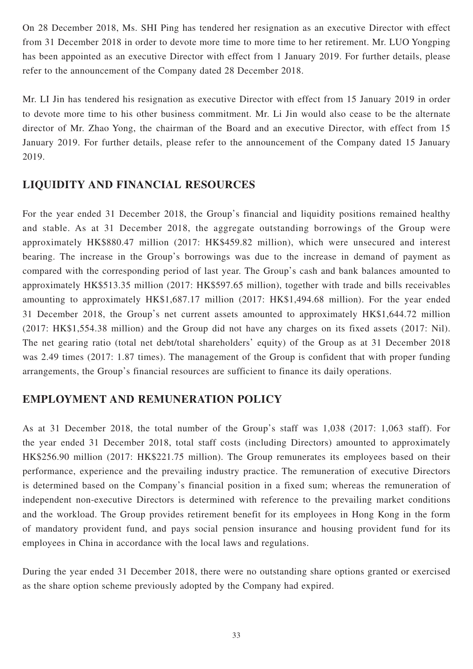On 28 December 2018, Ms. SHI Ping has tendered her resignation as an executive Director with effect from 31 December 2018 in order to devote more time to more time to her retirement. Mr. LUO Yongping has been appointed as an executive Director with effect from 1 January 2019. For further details, please refer to the announcement of the Company dated 28 December 2018.

Mr. LI Jin has tendered his resignation as executive Director with effect from 15 January 2019 in order to devote more time to his other business commitment. Mr. Li Jin would also cease to be the alternate director of Mr. Zhao Yong, the chairman of the Board and an executive Director, with effect from 15 January 2019. For further details, please refer to the announcement of the Company dated 15 January 2019.

## **LIQUIDITY AND FINANCIAL RESOURCES**

For the year ended 31 December 2018, the Group's financial and liquidity positions remained healthy and stable. As at 31 December 2018, the aggregate outstanding borrowings of the Group were approximately HK\$880.47 million (2017: HK\$459.82 million), which were unsecured and interest bearing. The increase in the Group's borrowings was due to the increase in demand of payment as compared with the corresponding period of last year. The Group's cash and bank balances amounted to approximately HK\$513.35 million (2017: HK\$597.65 million), together with trade and bills receivables amounting to approximately HK\$1,687.17 million (2017: HK\$1,494.68 million). For the year ended 31 December 2018, the Group's net current assets amounted to approximately HK\$1,644.72 million (2017: HK\$1,554.38 million) and the Group did not have any charges on its fixed assets (2017: Nil). The net gearing ratio (total net debt/total shareholders' equity) of the Group as at 31 December 2018 was 2.49 times (2017: 1.87 times). The management of the Group is confident that with proper funding arrangements, the Group's financial resources are sufficient to finance its daily operations.

# **EMPLOYMENT AND REMUNERATION POLICY**

As at 31 December 2018, the total number of the Group's staff was 1,038 (2017: 1,063 staff). For the year ended 31 December 2018, total staff costs (including Directors) amounted to approximately HK\$256.90 million (2017: HK\$221.75 million). The Group remunerates its employees based on their performance, experience and the prevailing industry practice. The remuneration of executive Directors is determined based on the Company's financial position in a fixed sum; whereas the remuneration of independent non-executive Directors is determined with reference to the prevailing market conditions and the workload. The Group provides retirement benefit for its employees in Hong Kong in the form of mandatory provident fund, and pays social pension insurance and housing provident fund for its employees in China in accordance with the local laws and regulations.

During the year ended 31 December 2018, there were no outstanding share options granted or exercised as the share option scheme previously adopted by the Company had expired.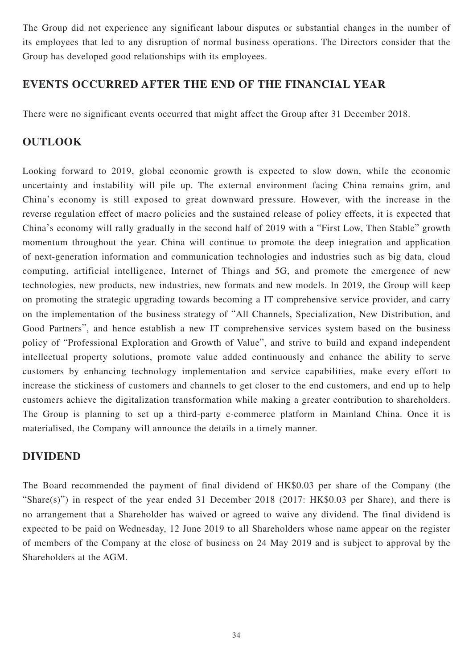The Group did not experience any significant labour disputes or substantial changes in the number of its employees that led to any disruption of normal business operations. The Directors consider that the Group has developed good relationships with its employees.

## **EVENTS OCCURRED AFTER THE END OF THE FINANCIAL YEAR**

There were no significant events occurred that might affect the Group after 31 December 2018.

## **OUTLOOK**

Looking forward to 2019, global economic growth is expected to slow down, while the economic uncertainty and instability will pile up. The external environment facing China remains grim, and China's economy is still exposed to great downward pressure. However, with the increase in the reverse regulation effect of macro policies and the sustained release of policy effects, it is expected that China's economy will rally gradually in the second half of 2019 with a "First Low, Then Stable" growth momentum throughout the year. China will continue to promote the deep integration and application of next-generation information and communication technologies and industries such as big data, cloud computing, artificial intelligence, Internet of Things and 5G, and promote the emergence of new technologies, new products, new industries, new formats and new models. In 2019, the Group will keep on promoting the strategic upgrading towards becoming a IT comprehensive service provider, and carry on the implementation of the business strategy of "All Channels, Specialization, New Distribution, and Good Partners", and hence establish a new IT comprehensive services system based on the business policy of "Professional Exploration and Growth of Value", and strive to build and expand independent intellectual property solutions, promote value added continuously and enhance the ability to serve customers by enhancing technology implementation and service capabilities, make every effort to increase the stickiness of customers and channels to get closer to the end customers, and end up to help customers achieve the digitalization transformation while making a greater contribution to shareholders. The Group is planning to set up a third-party e-commerce platform in Mainland China. Once it is materialised, the Company will announce the details in a timely manner.

### **DIVIDEND**

The Board recommended the payment of final dividend of HK\$0.03 per share of the Company (the "Share(s)") in respect of the year ended 31 December 2018 (2017: HK\$0.03 per Share), and there is no arrangement that a Shareholder has waived or agreed to waive any dividend. The final dividend is expected to be paid on Wednesday, 12 June 2019 to all Shareholders whose name appear on the register of members of the Company at the close of business on 24 May 2019 and is subject to approval by the Shareholders at the AGM.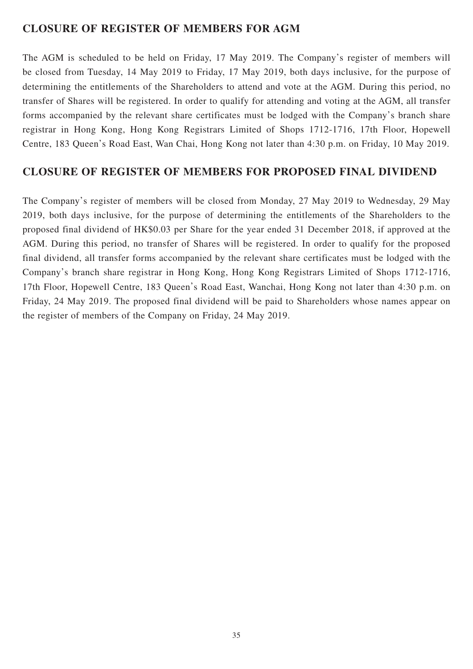## **CLOSURE OF REGISTER OF MEMBERS FOR AGM**

The AGM is scheduled to be held on Friday, 17 May 2019. The Company's register of members will be closed from Tuesday, 14 May 2019 to Friday, 17 May 2019, both days inclusive, for the purpose of determining the entitlements of the Shareholders to attend and vote at the AGM. During this period, no transfer of Shares will be registered. In order to qualify for attending and voting at the AGM, all transfer forms accompanied by the relevant share certificates must be lodged with the Company's branch share registrar in Hong Kong, Hong Kong Registrars Limited of Shops 1712-1716, 17th Floor, Hopewell Centre, 183 Queen's Road East, Wan Chai, Hong Kong not later than 4:30 p.m. on Friday, 10 May 2019.

# **CLOSURE OF REGISTER OF MEMBERS FOR PROPOSED FINAL DIVIDEND**

The Company's register of members will be closed from Monday, 27 May 2019 to Wednesday, 29 May 2019, both days inclusive, for the purpose of determining the entitlements of the Shareholders to the proposed final dividend of HK\$0.03 per Share for the year ended 31 December 2018, if approved at the AGM. During this period, no transfer of Shares will be registered. In order to qualify for the proposed final dividend, all transfer forms accompanied by the relevant share certificates must be lodged with the Company's branch share registrar in Hong Kong, Hong Kong Registrars Limited of Shops 1712-1716, 17th Floor, Hopewell Centre, 183 Queen's Road East, Wanchai, Hong Kong not later than 4:30 p.m. on Friday, 24 May 2019. The proposed final dividend will be paid to Shareholders whose names appear on the register of members of the Company on Friday, 24 May 2019.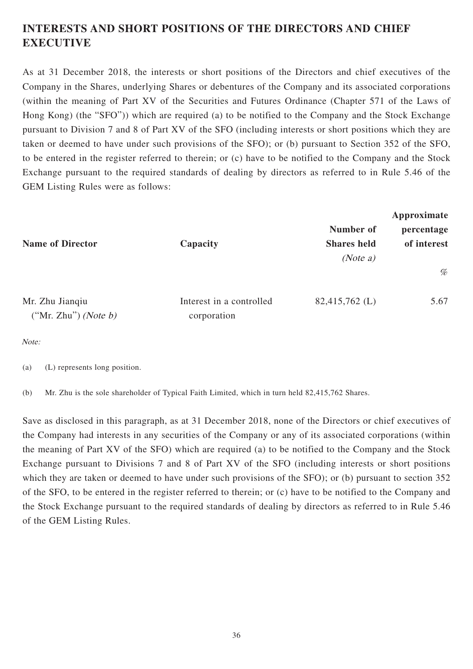# **INTERESTS AND SHORT POSITIONS OF THE DIRECTORS AND CHIEF EXECUTIVE**

As at 31 December 2018, the interests or short positions of the Directors and chief executives of the Company in the Shares, underlying Shares or debentures of the Company and its associated corporations (within the meaning of Part XV of the Securities and Futures Ordinance (Chapter 571 of the Laws of Hong Kong) (the "SFO")) which are required (a) to be notified to the Company and the Stock Exchange pursuant to Division 7 and 8 of Part XV of the SFO (including interests or short positions which they are taken or deemed to have under such provisions of the SFO); or (b) pursuant to Section 352 of the SFO, to be entered in the register referred to therein; or (c) have to be notified to the Company and the Stock Exchange pursuant to the required standards of dealing by directors as referred to in Rule 5.46 of the GEM Listing Rules were as follows:

| <b>Name of Director</b>                    | Capacity                                | Number of<br><b>Shares</b> held<br>(Note a) | Approximate<br>percentage<br>of interest |  |
|--------------------------------------------|-----------------------------------------|---------------------------------------------|------------------------------------------|--|
|                                            |                                         |                                             | $\%$                                     |  |
| Mr. Zhu Jianqiu<br>("Mr. Zhu") (Note $b$ ) | Interest in a controlled<br>corporation | $82,415,762 \; (L)$                         | 5.67                                     |  |

Note:

(a) (L) represents long position.

(b) Mr. Zhu is the sole shareholder of Typical Faith Limited, which in turn held 82,415,762 Shares.

Save as disclosed in this paragraph, as at 31 December 2018, none of the Directors or chief executives of the Company had interests in any securities of the Company or any of its associated corporations (within the meaning of Part XV of the SFO) which are required (a) to be notified to the Company and the Stock Exchange pursuant to Divisions 7 and 8 of Part XV of the SFO (including interests or short positions which they are taken or deemed to have under such provisions of the SFO); or (b) pursuant to section 352 of the SFO, to be entered in the register referred to therein; or (c) have to be notified to the Company and the Stock Exchange pursuant to the required standards of dealing by directors as referred to in Rule 5.46 of the GEM Listing Rules.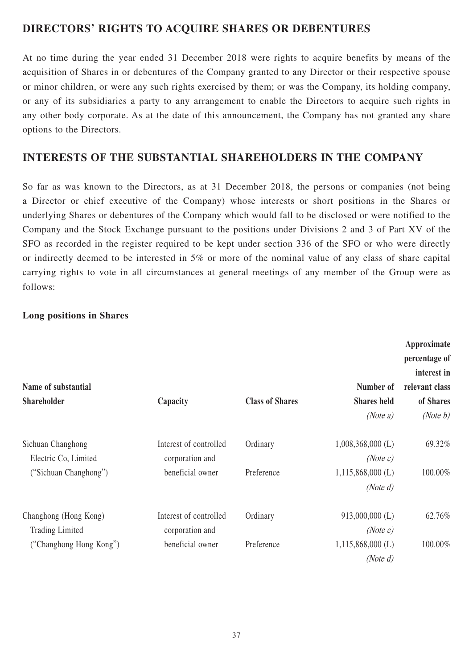# **DIRECTORS' RIGHTS TO ACQUIRE SHARES OR DEBENTURES**

At no time during the year ended 31 December 2018 were rights to acquire benefits by means of the acquisition of Shares in or debentures of the Company granted to any Director or their respective spouse or minor children, or were any such rights exercised by them; or was the Company, its holding company, or any of its subsidiaries a party to any arrangement to enable the Directors to acquire such rights in any other body corporate. As at the date of this announcement, the Company has not granted any share options to the Directors.

## **INTERESTS OF THE SUBSTANTIAL SHAREHOLDERS IN THE COMPANY**

So far as was known to the Directors, as at 31 December 2018, the persons or companies (not being a Director or chief executive of the Company) whose interests or short positions in the Shares or underlying Shares or debentures of the Company which would fall to be disclosed or were notified to the Company and the Stock Exchange pursuant to the positions under Divisions 2 and 3 of Part XV of the SFO as recorded in the register required to be kept under section 336 of the SFO or who were directly or indirectly deemed to be interested in 5% or more of the nominal value of any class of share capital carrying rights to vote in all circumstances at general meetings of any member of the Group were as follows:

### **Long positions in Shares**

| Name of substantial                             |                                           |                                    | Number of                          | Approximate<br>percentage of<br>interest in<br>relevant class |
|-------------------------------------------------|-------------------------------------------|------------------------------------|------------------------------------|---------------------------------------------------------------|
| <b>Shareholder</b>                              | Capacity                                  | <b>Class of Shares</b>             | <b>Shares held</b><br>(Note a)     | of Shares<br>(Note $b$ )                                      |
|                                                 |                                           |                                    |                                    |                                                               |
| Sichuan Changhong<br>Electric Co, Limited       | Interest of controlled<br>corporation and | Ordinary                           | $1,008,368,000$ (L)<br>(Note c)    | 69.32%                                                        |
| ("Sichuan Changhong")<br>beneficial owner       | Preference                                | $1,115,868,000$ (L)<br>(Note $d$ ) | 100.00%                            |                                                               |
| Changhong (Hong Kong)<br><b>Trading Limited</b> | Interest of controlled<br>corporation and | Ordinary                           | 913,000,000 (L)<br>(Note e)        | 62.76%                                                        |
| ("Changhong Hong Kong")                         | beneficial owner                          | Preference                         | $1,115,868,000$ (L)<br>(Note $d$ ) | 100.00%                                                       |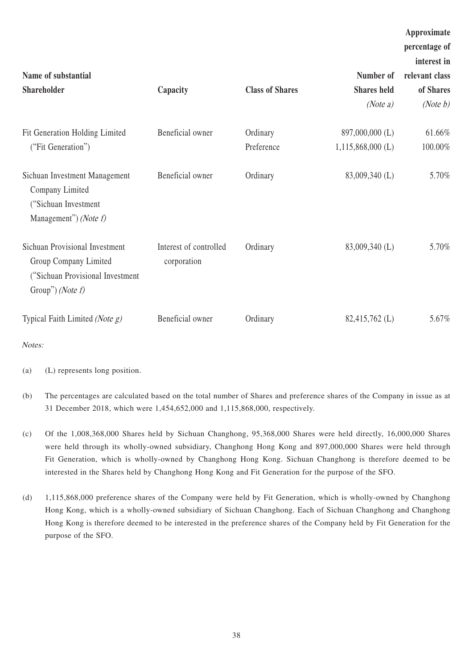| Name of substantial                                                                                                      |                                       |                        | Number of           | Approximate<br>percentage of<br>interest in<br>relevant class |
|--------------------------------------------------------------------------------------------------------------------------|---------------------------------------|------------------------|---------------------|---------------------------------------------------------------|
| <b>Shareholder</b>                                                                                                       | Capacity                              | <b>Class of Shares</b> | <b>Shares held</b>  | of Shares                                                     |
|                                                                                                                          |                                       |                        | (Note $a$ )         | (Note $b$ )                                                   |
| Fit Generation Holding Limited                                                                                           | Beneficial owner                      | Ordinary               | 897,000,000 (L)     | 61.66%                                                        |
| ("Fit Generation")                                                                                                       |                                       | Preference             | $1,115,868,000$ (L) | 100.00%                                                       |
| Sichuan Investment Management<br>Company Limited<br>("Sichuan Investment<br>Management") ( <i>Note f</i> )               | Beneficial owner                      | Ordinary               | 83,009,340 (L)      | 5.70%                                                         |
| Sichuan Provisional Investment<br>Group Company Limited<br>("Sichuan Provisional Investment<br>Group") ( <i>Note f</i> ) | Interest of controlled<br>corporation | Ordinary               | 83,009,340 (L)      | 5.70%                                                         |
| Typical Faith Limited (Note $g$ )                                                                                        | Beneficial owner                      | Ordinary               | 82,415,762 (L)      | 5.67%                                                         |

Notes:

(a) (L) represents long position.

- (b) The percentages are calculated based on the total number of Shares and preference shares of the Company in issue as at 31 December 2018, which were 1,454,652,000 and 1,115,868,000, respectively.
- (c) Of the 1,008,368,000 Shares held by Sichuan Changhong, 95,368,000 Shares were held directly, 16,000,000 Shares were held through its wholly-owned subsidiary, Changhong Hong Kong and 897,000,000 Shares were held through Fit Generation, which is wholly-owned by Changhong Hong Kong. Sichuan Changhong is therefore deemed to be interested in the Shares held by Changhong Hong Kong and Fit Generation for the purpose of the SFO.
- (d) 1,115,868,000 preference shares of the Company were held by Fit Generation, which is wholly-owned by Changhong Hong Kong, which is a wholly-owned subsidiary of Sichuan Changhong. Each of Sichuan Changhong and Changhong Hong Kong is therefore deemed to be interested in the preference shares of the Company held by Fit Generation for the purpose of the SFO.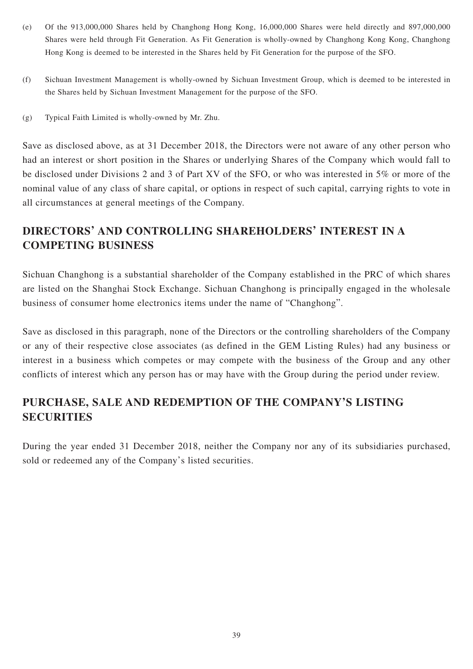- (e) Of the 913,000,000 Shares held by Changhong Hong Kong, 16,000,000 Shares were held directly and 897,000,000 Shares were held through Fit Generation. As Fit Generation is wholly-owned by Changhong Kong Kong, Changhong Hong Kong is deemed to be interested in the Shares held by Fit Generation for the purpose of the SFO.
- (f) Sichuan Investment Management is wholly-owned by Sichuan Investment Group, which is deemed to be interested in the Shares held by Sichuan Investment Management for the purpose of the SFO.
- (g) Typical Faith Limited is wholly-owned by Mr. Zhu.

Save as disclosed above, as at 31 December 2018, the Directors were not aware of any other person who had an interest or short position in the Shares or underlying Shares of the Company which would fall to be disclosed under Divisions 2 and 3 of Part XV of the SFO, or who was interested in 5% or more of the nominal value of any class of share capital, or options in respect of such capital, carrying rights to vote in all circumstances at general meetings of the Company.

# **DIRECTORS' AND CONTROLLING SHAREHOLDERS' INTEREST IN A COMPETING BUSINESS**

Sichuan Changhong is a substantial shareholder of the Company established in the PRC of which shares are listed on the Shanghai Stock Exchange. Sichuan Changhong is principally engaged in the wholesale business of consumer home electronics items under the name of "Changhong".

Save as disclosed in this paragraph, none of the Directors or the controlling shareholders of the Company or any of their respective close associates (as defined in the GEM Listing Rules) had any business or interest in a business which competes or may compete with the business of the Group and any other conflicts of interest which any person has or may have with the Group during the period under review.

# **PURCHASE, SALE AND REDEMPTION OF THE COMPANY'S LISTING SECURITIES**

During the year ended 31 December 2018, neither the Company nor any of its subsidiaries purchased, sold or redeemed any of the Company's listed securities.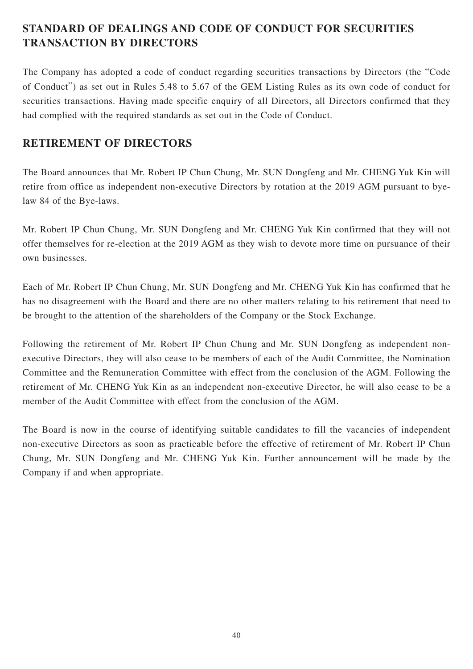# **STANDARD OF DEALINGS AND CODE OF CONDUCT FOR SECURITIES TRANSACTION BY DIRECTORS**

The Company has adopted a code of conduct regarding securities transactions by Directors (the "Code of Conduct") as set out in Rules 5.48 to 5.67 of the GEM Listing Rules as its own code of conduct for securities transactions. Having made specific enquiry of all Directors, all Directors confirmed that they had complied with the required standards as set out in the Code of Conduct.

# **RETIREMENT OF DIRECTORS**

The Board announces that Mr. Robert IP Chun Chung, Mr. SUN Dongfeng and Mr. CHENG Yuk Kin will retire from office as independent non-executive Directors by rotation at the 2019 AGM pursuant to byelaw 84 of the Bye-laws.

Mr. Robert IP Chun Chung, Mr. SUN Dongfeng and Mr. CHENG Yuk Kin confirmed that they will not offer themselves for re-election at the 2019 AGM as they wish to devote more time on pursuance of their own businesses.

Each of Mr. Robert IP Chun Chung, Mr. SUN Dongfeng and Mr. CHENG Yuk Kin has confirmed that he has no disagreement with the Board and there are no other matters relating to his retirement that need to be brought to the attention of the shareholders of the Company or the Stock Exchange.

Following the retirement of Mr. Robert IP Chun Chung and Mr. SUN Dongfeng as independent nonexecutive Directors, they will also cease to be members of each of the Audit Committee, the Nomination Committee and the Remuneration Committee with effect from the conclusion of the AGM. Following the retirement of Mr. CHENG Yuk Kin as an independent non-executive Director, he will also cease to be a member of the Audit Committee with effect from the conclusion of the AGM.

The Board is now in the course of identifying suitable candidates to fill the vacancies of independent non-executive Directors as soon as practicable before the effective of retirement of Mr. Robert IP Chun Chung, Mr. SUN Dongfeng and Mr. CHENG Yuk Kin. Further announcement will be made by the Company if and when appropriate.